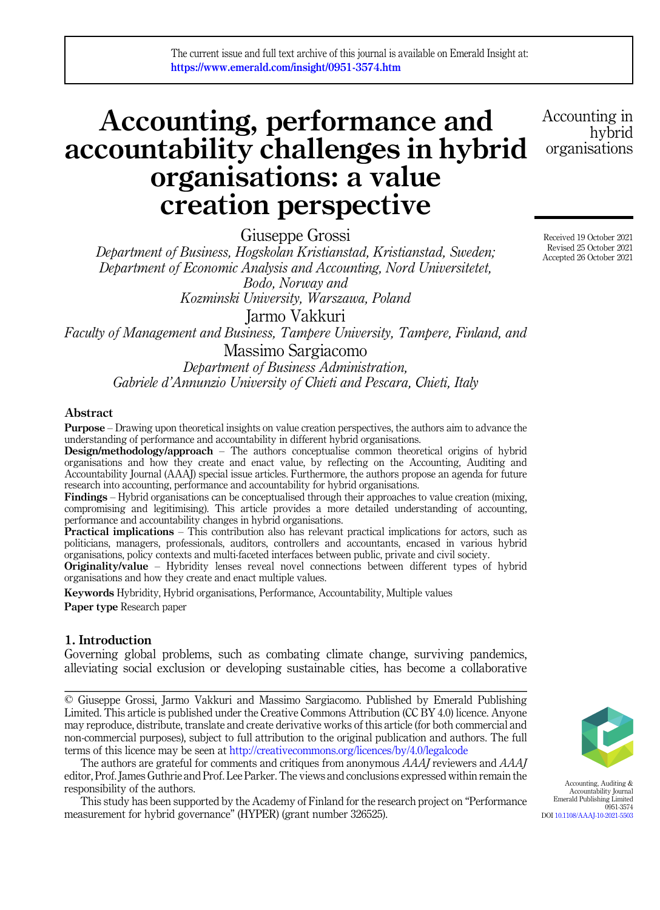# Accounting, performance and accountability challenges in hybrid organisations: a value creation perspective

Giuseppe Grossi

Department of Business, Hogskolan Kristianstad, Kristianstad, Sweden; Department of Economic Analysis and Accounting, Nord Universitetet, Bodo, Norway and Kozminski University, Warszawa, Poland Jarmo Vakkuri

Faculty of Management and Business, Tampere University, Tampere, Finland, and

Massimo Sargiacomo Department of Business Administration, Gabriele d'Annunzio University of Chieti and Pescara, Chieti, Italy

# Abstract

Purpose – Drawing upon theoretical insights on value creation perspectives, the authors aim to advance the understanding of performance and accountability in different hybrid organisations.

Design/methodology/approach – The authors conceptualise common theoretical origins of hybrid organisations and how they create and enact value, by reflecting on the Accounting, Auditing and Accountability Journal (AAAJ) special issue articles. Furthermore, the authors propose an agenda for future research into accounting, performance and accountability for hybrid organisations.

Findings – Hybrid organisations can be conceptualised through their approaches to value creation (mixing, compromising and legitimising). This article provides a more detailed understanding of accounting, performance and accountability changes in hybrid organisations.

Practical implications – This contribution also has relevant practical implications for actors, such as politicians, managers, professionals, auditors, controllers and accountants, encased in various hybrid organisations, policy contexts and multi-faceted interfaces between public, private and civil society.

Originality/value – Hybridity lenses reveal novel connections between different types of hybrid organisations and how they create and enact multiple values.

Keywords Hybridity, Hybrid organisations, Performance, Accountability, Multiple values Paper type Research paper

# 1. Introduction

Governing global problems, such as combating climate change, surviving pandemics, alleviating social exclusion or developing sustainable cities, has become a collaborative

© Giuseppe Grossi, Jarmo Vakkuri and Massimo Sargiacomo. Published by Emerald Publishing Limited. This article is published under the Creative Commons Attribution (CC BY 4.0) licence. Anyone may reproduce, distribute, translate and create derivative works of this article (for both commercial and non-commercial purposes), subject to full attribution to the original publication and authors. The full terms of this licence may be seen at <http://creativecommons.org/licences/by/4.0/legalcode>

The authors are grateful for comments and critiques from anonymous AAAJ reviewers and AAAJ editor, Prof. James Guthrie and Prof. Lee Parker. The views and conclusions expressed within remain the responsibility of the authors.

This study has been supported by the Academy of Finland for the research project on "Performance measurement for hybrid governance" (HYPER) (grant number 326525).

Accepted 26 October 2021

Accounting in

organisations

Received 19 October 2021 Revised 25 October 2021

hybrid



Accounting, Auditing & Accountability Journal Emerald Publishing Limited 0951-3574 DOI [10.1108/AAAJ-10-2021-5503](https://doi.org/10.1108/AAAJ-10-2021-5503)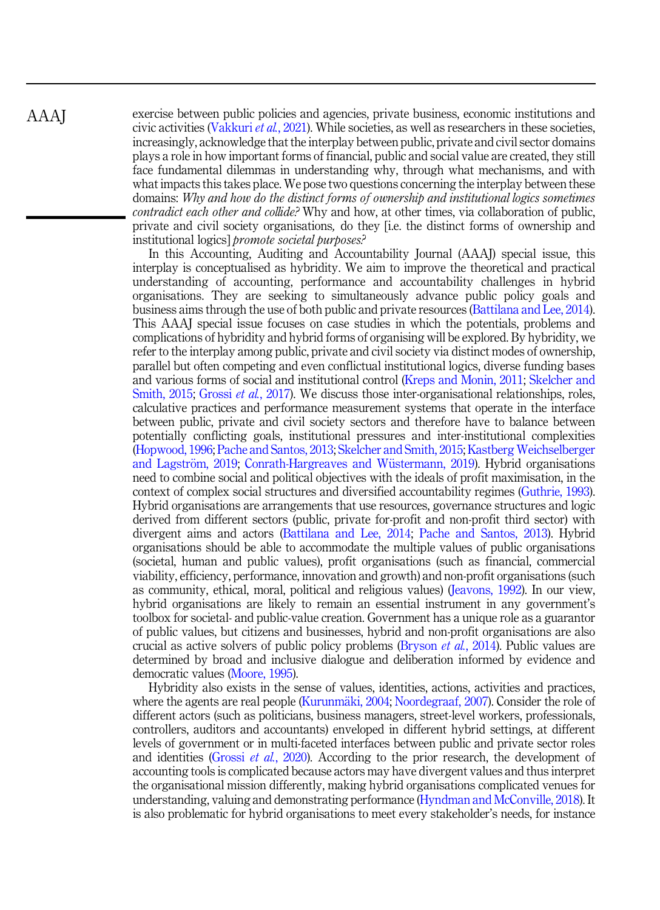exercise between public policies and agencies, private business, economic institutions and civic activities [\(Vakkuri](#page-20-0) *et al.*, 2021). While societies, as well as researchers in these societies, increasingly, acknowledge that the interplay between public, private and civil sector domains plays a role in how important forms of financial, public and social value are created, they still face fundamental dilemmas in understanding why, through what mechanisms, and with what impacts this takes place. We pose two questions concerning the interplay between these domains: Why and how do the distinct forms of ownership and institutional logics sometimes contradict each other and collide? Why and how, at other times, via collaboration of public, private and civil society organisations, do they [i.e. the distinct forms of ownership and institutional logics] promote societal purposes?

In this Accounting, Auditing and Accountability Journal (AAAJ) special issue, this interplay is conceptualised as hybridity. We aim to improve the theoretical and practical understanding of accounting, performance and accountability challenges in hybrid organisations. They are seeking to simultaneously advance public policy goals and business aims through the use of both public and private resources [\(Battilana and Lee, 2014\)](#page-15-0). This AAAJ special issue focuses on case studies in which the potentials, problems and complications of hybridity and hybrid forms of organising will be explored. By hybridity, we refer to the interplay among public, private and civil society via distinct modes of ownership, parallel but often competing and even conflictual institutional logics, diverse funding bases and various forms of social and institutional control ([Kreps and Monin, 2011](#page-17-0); [Skelcher and](#page-19-0) [Smith, 2015](#page-19-0); [Grossi](#page-17-0) *et al.*, 2017). We discuss those inter-organisational relationships, roles, calculative practices and performance measurement systems that operate in the interface between public, private and civil society sectors and therefore have to balance between potentially conflicting goals, institutional pressures and inter-institutional complexities ([Hopwood, 1996](#page-17-0); [Pache and Santos, 2013](#page-19-0); [Skelcher and Smith, 2015](#page-19-0); [Kastberg Weichselberger](#page-17-0) [and Lagstr](#page-17-0)ö[m, 2019;](#page-17-0) Conrath-Hargreaves and Wüstermann, 2019). Hybrid organisations need to combine social and political objectives with the ideals of profit maximisation, in the context of complex social structures and diversified accountability regimes ([Guthrie, 1993\)](#page-17-0). Hybrid organisations are arrangements that use resources, governance structures and logic derived from different sectors (public, private for-profit and non-profit third sector) with divergent aims and actors ([Battilana and Lee, 2014](#page-15-0); [Pache and Santos, 2013](#page-19-0)). Hybrid organisations should be able to accommodate the multiple values of public organisations (societal, human and public values), profit organisations (such as financial, commercial viability, efficiency, performance, innovation and growth) and non-profit organisations (such as community, ethical, moral, political and religious values) [\(Jeavons, 1992\)](#page-17-0). In our view, hybrid organisations are likely to remain an essential instrument in any government's toolbox for societal- and public-value creation. Government has a unique role as a guarantor of public values, but citizens and businesses, hybrid and non-profit organisations are also crucial as active solvers of public policy problems [\(Bryson](#page-16-0) et al., 2014). Public values are determined by broad and inclusive dialogue and deliberation informed by evidence and democratic values ([Moore, 1995\)](#page-18-0).

Hybridity also exists in the sense of values, identities, actions, activities and practices, where the agents are real people ([Kurunm](#page-17-0)äki, 2004; [Noordegraaf, 2007\)](#page-18-0). Consider the role of different actors (such as politicians, business managers, street-level workers, professionals, controllers, auditors and accountants) enveloped in different hybrid settings, at different levels of government or in multi-faceted interfaces between public and private sector roles and identities ([Grossi](#page-17-0) et al., 2020). According to the prior research, the development of accounting tools is complicated because actors may have divergent values and thus interpret the organisational mission differently, making hybrid organisations complicated venues for understanding, valuing and demonstrating performance [\(Hyndman and McConville, 2018](#page-17-0)). It is also problematic for hybrid organisations to meet every stakeholder's needs, for instance

AAAJ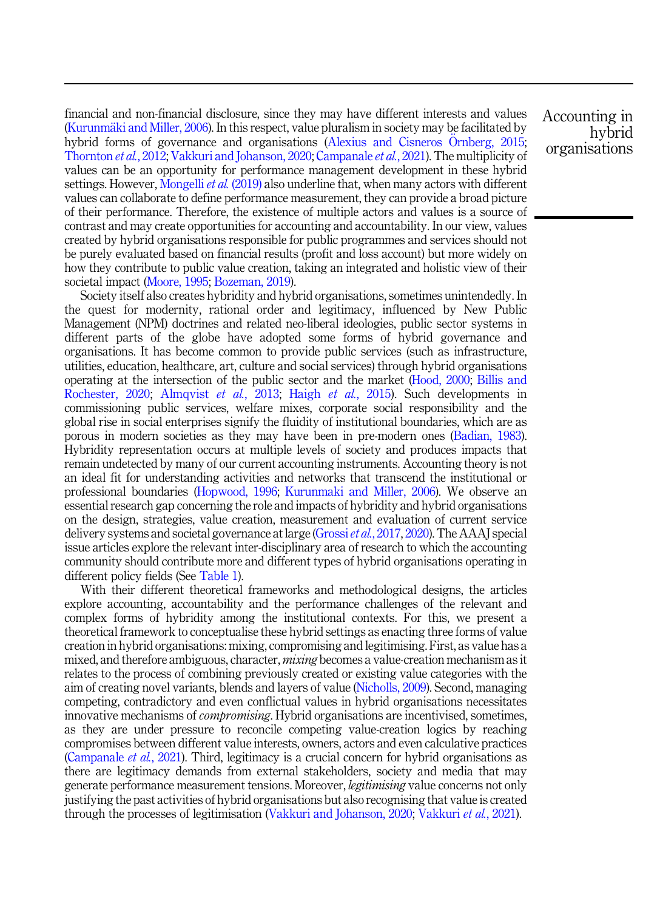financial and non-financial disclosure, since they may have different interests and values ([Kurunm](#page-18-0)ä[ki and Miller, 2006\)](#page-18-0). In this respect, value pluralism in society may be facilitated by hybrid forms of governance and organisations ([Alexius and Cisneros](#page-15-0) O[rnberg, 2015](#page-15-0); [Thornton](#page-19-0) et al., 2012; [Vakkuri and Johanson, 2020](#page-20-0); [Campanale](#page-16-0) et al., 2021). The multiplicity of values can be an opportunity for performance management development in these hybrid settings. However, [Mongelli](#page-18-0) *et al.* (2019) also underline that, when many actors with different values can collaborate to define performance measurement, they can provide a broad picture of their performance. Therefore, the existence of multiple actors and values is a source of contrast and may create opportunities for accounting and accountability. In our view, values created by hybrid organisations responsible for public programmes and services should not be purely evaluated based on financial results (profit and loss account) but more widely on how they contribute to public value creation, taking an integrated and holistic view of their societal impact ([Moore, 1995;](#page-18-0) [Bozeman, 2019](#page-16-0)).

Society itself also creates hybridity and hybrid organisations, sometimes unintendedly. In the quest for modernity, rational order and legitimacy, influenced by New Public Management (NPM) doctrines and related neo-liberal ideologies, public sector systems in different parts of the globe have adopted some forms of hybrid governance and organisations. It has become common to provide public services (such as infrastructure, utilities, education, healthcare, art, culture and social services) through hybrid organisations operating at the intersection of the public sector and the market [\(Hood, 2000](#page-17-0); [Billis and](#page-16-0) [Rochester, 2020](#page-16-0); [Almqvist](#page-15-0) et al., 2013; Haigh et al.[, 2015](#page-17-0)). Such developments in commissioning public services, welfare mixes, corporate social responsibility and the global rise in social enterprises signify the fluidity of institutional boundaries, which are as porous in modern societies as they may have been in pre-modern ones [\(Badian, 1983\)](#page-15-0). Hybridity representation occurs at multiple levels of society and produces impacts that remain undetected by many of our current accounting instruments. Accounting theory is not an ideal fit for understanding activities and networks that transcend the institutional or professional boundaries [\(Hopwood, 1996](#page-17-0); [Kurunmaki and Miller, 2006\)](#page-18-0). We observe an essential research gap concerning the role and impacts of hybridity and hybrid organisations on the design, strategies, value creation, measurement and evaluation of current service delivery systems and societal governance at large [\(Grossi](#page-17-0) *et al.*, 2017, [2020\)](#page-17-0). The AAAJ special issue articles explore the relevant inter-disciplinary area of research to which the accounting community should contribute more and different types of hybrid organisations operating in different policy fields (See [Table 1\)](#page-3-0).

With their different theoretical frameworks and methodological designs, the articles explore accounting, accountability and the performance challenges of the relevant and complex forms of hybridity among the institutional contexts. For this, we present a theoretical framework to conceptualise these hybrid settings as enacting three forms of value creation in hybrid organisations: mixing, compromising and legitimising. First, as value has a mixed, and therefore ambiguous, character, *mixing* becomes a value-creation mechanism as it relates to the process of combining previously created or existing value categories with the aim of creating novel variants, blends and layers of value ([Nicholls, 2009\)](#page-18-0). Second, managing competing, contradictory and even conflictual values in hybrid organisations necessitates innovative mechanisms of *compromising*. Hybrid organisations are incentivised, sometimes, as they are under pressure to reconcile competing value-creation logics by reaching compromises between different value interests, owners, actors and even calculative practices ([Campanale](#page-16-0) *et al.*, 2021). Third, legitimacy is a crucial concern for hybrid organisations as there are legitimacy demands from external stakeholders, society and media that may generate performance measurement tensions. Moreover, legitimising value concerns not only justifying the past activities of hybrid organisations but also recognising that value is created through the processes of legitimisation ([Vakkuri and Johanson, 2020](#page-20-0); [Vakkuri](#page-20-0) et al., 2021).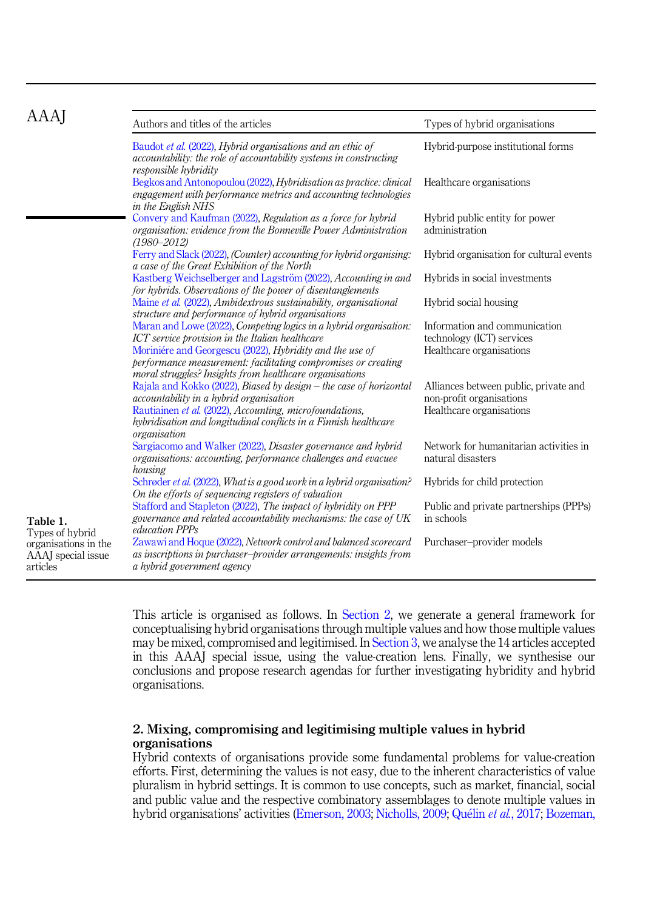<span id="page-3-0"></span>

| AAAJ                                                                      | Authors and titles of the articles                                                                                                                                                                                                                                                                           | Types of hybrid organisations                                                                 |
|---------------------------------------------------------------------------|--------------------------------------------------------------------------------------------------------------------------------------------------------------------------------------------------------------------------------------------------------------------------------------------------------------|-----------------------------------------------------------------------------------------------|
|                                                                           | Baudot et al. (2022), Hybrid organisations and an ethic of<br>accountability: the role of accountability systems in constructing<br>responsible hybridity                                                                                                                                                    | Hybrid-purpose institutional forms                                                            |
|                                                                           | Begkos and Antonopoulou (2022), Hybridisation as practice: clinical<br>engagement with performance metrics and accounting technologies<br>in the English NHS                                                                                                                                                 | Healthcare organisations                                                                      |
|                                                                           | Convery and Kaufman (2022), Regulation as a force for hybrid<br>organisation: evidence from the Bonneville Power Administration<br>$(1980 - 2012)$                                                                                                                                                           | Hybrid public entity for power<br>administration                                              |
|                                                                           | Ferry and Slack (2022), (Counter) accounting for hybrid organising:<br>a case of the Great Exhibition of the North                                                                                                                                                                                           | Hybrid organisation for cultural events                                                       |
|                                                                           | Kastberg Weichselberger and Lagström (2022), Accounting in and<br>for hybrids. Observations of the power of disentanglements                                                                                                                                                                                 | Hybrids in social investments                                                                 |
|                                                                           | Maine et al. (2022), Ambidextrous sustainability, organisational<br>structure and performance of hybrid organisations                                                                                                                                                                                        | Hybrid social housing                                                                         |
|                                                                           | Maran and Lowe (2022), Competing logics in a hybrid organisation:<br>ICT service provision in the Italian healthcare<br>Moriniére and Georgescu (2022), Hybridity and the use of<br>performance measurement: facilitating compromises or creating<br>moral struggles? Insights from healthcare organisations | Information and communication<br>technology (ICT) services<br>Healthcare organisations        |
|                                                                           | Rajala and Kokko (2022), Biased by design - the case of horizontal<br>accountability in a hybrid organisation<br>Rautiainen et al. (2022), Accounting, microfoundations,<br>hybridisation and longitudinal conflicts in a Finnish healthcare<br>organisation                                                 | Alliances between public, private and<br>non-profit organisations<br>Healthcare organisations |
|                                                                           | Sargiacomo and Walker (2022), Disaster governance and hybrid<br>organisations: accounting, performance challenges and evacuee<br>housing                                                                                                                                                                     | Network for humanitarian activities in<br>natural disasters                                   |
|                                                                           | Schrøder et al. (2022), What is a good work in a hybrid organisation?<br>On the efforts of sequencing registers of valuation                                                                                                                                                                                 | Hybrids for child protection                                                                  |
| Table 1.                                                                  | Stafford and Stapleton (2022), The impact of hybridity on PPP<br>governance and related accountability mechanisms: the case of UK<br>education PPPs                                                                                                                                                          | Public and private partnerships (PPPs)<br>in schools                                          |
| Types of hybrid<br>organisations in the<br>AAAJ special issue<br>articles | Zawawi and Hoque (2022), Network control and balanced scorecard<br>as inscriptions in purchaser–provider arrangements: insights from<br>a hybrid government agency                                                                                                                                           | Purchaser-provider models                                                                     |

This article is organised as follows. In Section 2, we generate a general framework for conceptualising hybrid organisations through multiple values and how those multiple values may be mixed, compromised and legitimised. In [Section 3](#page-10-0), we analyse the 14 articles accepted in this AAAJ special issue, using the value-creation lens. Finally, we synthesise our conclusions and propose research agendas for further investigating hybridity and hybrid organisations.

# 2. Mixing, compromising and legitimising multiple values in hybrid organisations

Hybrid contexts of organisations provide some fundamental problems for value-creation efforts. First, determining the values is not easy, due to the inherent characteristics of value pluralism in hybrid settings. It is common to use concepts, such as market, financial, social and public value and the respective combinatory assemblages to denote multiple values in hybrid organisations' activities [\(Emerson, 2003](#page-16-0); [Nicholls, 2009;](#page-18-0) [Qu](#page-19-0)élin et al.[, 2017](#page-19-0); [Bozeman,](#page-16-0)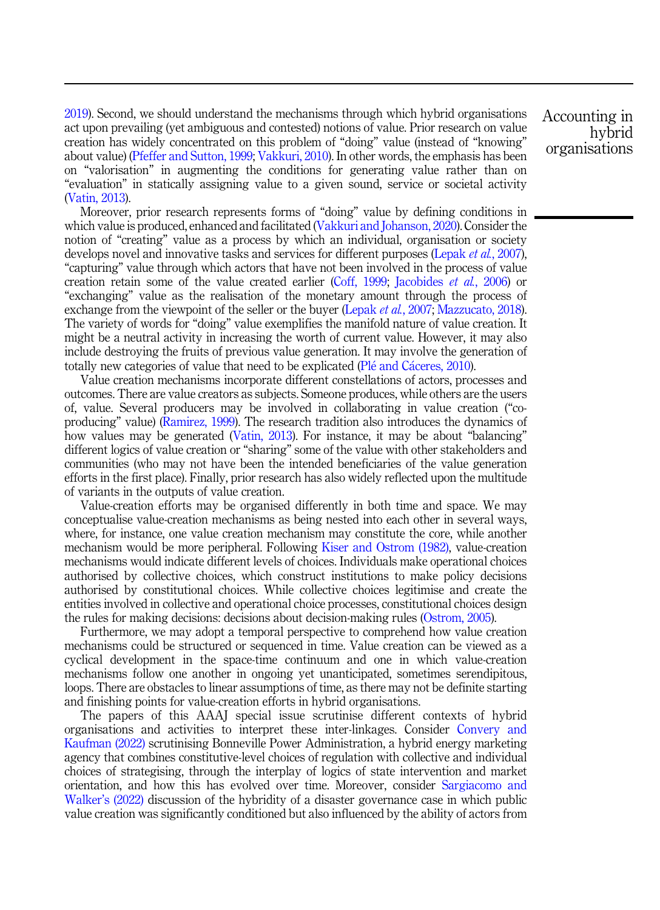[2019\)](#page-16-0). Second, we should understand the mechanisms through which hybrid organisations act upon prevailing (yet ambiguous and contested) notions of value. Prior research on value creation has widely concentrated on this problem of "doing" value (instead of "knowing" about value) ([Pfeffer and Sutton, 1999;](#page-19-0) [Vakkuri, 2010](#page-19-0)). In other words, the emphasis has been on "valorisation" in augmenting the conditions for generating value rather than on "evaluation" in statically assigning value to a given sound, service or societal activity ([Vatin, 2013\)](#page-20-0).

Moreover, prior research represents forms of "doing" value by defining conditions in which value is produced, enhanced and facilitated ([Vakkuri and Johanson, 2020](#page-20-0)). Consider the notion of "creating" value as a process by which an individual, organisation or society develops novel and innovative tasks and services for different purposes ([Lepak](#page-18-0) *et al.*, 2007), "capturing" value through which actors that have not been involved in the process of value creation retain some of the value created earlier ([Coff, 1999](#page-16-0); [Jacobides](#page-17-0) et al., 2006) or "exchanging" value as the realisation of the monetary amount through the process of exchange from the viewpoint of the seller or the buyer ([Lepak](#page-18-0) *et al.*, 2007; [Mazzucato, 2018\)](#page-18-0). The variety of words for "doing" value exemplifies the manifold nature of value creation. It might be a neutral activity in increasing the worth of current value. However, it may also include destroying the fruits of previous value generation. It may involve the generation of totally new categories of value that need to be explicated ([Pl](#page-19-0)é and Cáceres, 2010).

Value creation mechanisms incorporate different constellations of actors, processes and outcomes. There are value creators as subjects. Someone produces, while others are the users of, value. Several producers may be involved in collaborating in value creation ("coproducing" value) ([Ramirez, 1999\)](#page-19-0). The research tradition also introduces the dynamics of how values may be generated [\(Vatin, 2013\)](#page-20-0). For instance, it may be about "balancing" different logics of value creation or "sharing" some of the value with other stakeholders and communities (who may not have been the intended beneficiaries of the value generation efforts in the first place). Finally, prior research has also widely reflected upon the multitude of variants in the outputs of value creation.

Value-creation efforts may be organised differently in both time and space. We may conceptualise value-creation mechanisms as being nested into each other in several ways, where, for instance, one value creation mechanism may constitute the core, while another mechanism would be more peripheral. Following [Kiser and Ostrom \(1982\),](#page-17-0) value-creation mechanisms would indicate different levels of choices. Individuals make operational choices authorised by collective choices, which construct institutions to make policy decisions authorised by constitutional choices. While collective choices legitimise and create the entities involved in collective and operational choice processes, constitutional choices design the rules for making decisions: decisions about decision-making rules ([Ostrom, 2005](#page-18-0)).

Furthermore, we may adopt a temporal perspective to comprehend how value creation mechanisms could be structured or sequenced in time. Value creation can be viewed as a cyclical development in the space-time continuum and one in which value-creation mechanisms follow one another in ongoing yet unanticipated, sometimes serendipitous, loops. There are obstacles to linear assumptions of time, as there may not be definite starting and finishing points for value-creation efforts in hybrid organisations.

The papers of this AAAJ special issue scrutinise different contexts of hybrid organisations and activities to interpret these inter-linkages. Consider [Convery and](#page-16-0) [Kaufman \(2022\)](#page-16-0) scrutinising Bonneville Power Administration, a hybrid energy marketing agency that combines constitutive-level choices of regulation with collective and individual choices of strategising, through the interplay of logics of state intervention and market orientation, and how this has evolved over time. Moreover, consider [Sargiacomo and](#page-19-0) Walker'[s \(2022\)](#page-19-0) discussion of the hybridity of a disaster governance case in which public value creation was significantly conditioned but also influenced by the ability of actors from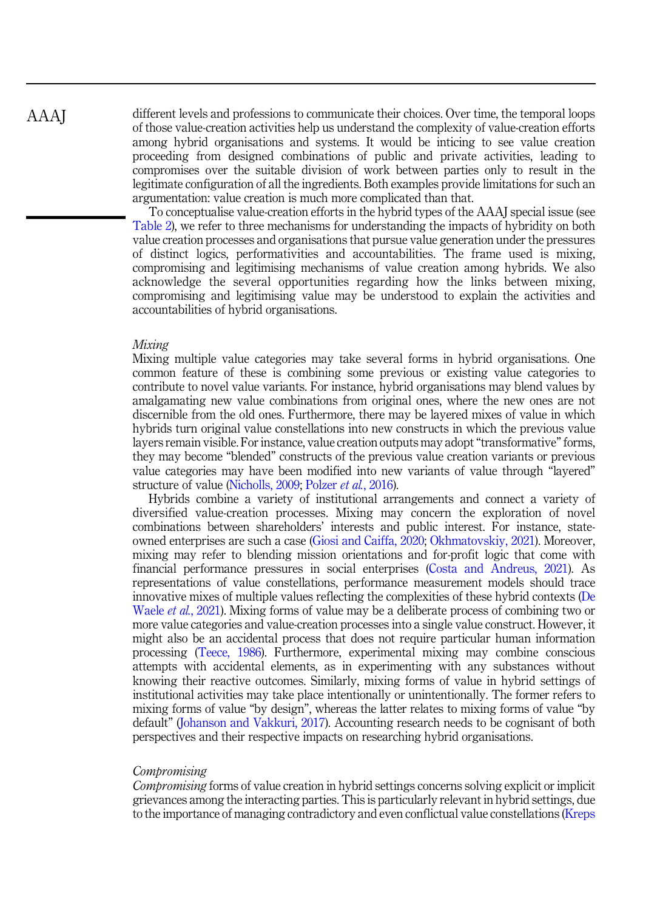different levels and professions to communicate their choices. Over time, the temporal loops of those value-creation activities help us understand the complexity of value-creation efforts among hybrid organisations and systems. It would be inticing to see value creation proceeding from designed combinations of public and private activities, leading to compromises over the suitable division of work between parties only to result in the legitimate configuration of all the ingredients. Both examples provide limitations for such an argumentation: value creation is much more complicated than that.

To conceptualise value-creation efforts in the hybrid types of the AAAJ special issue (see [Table 2](#page-6-0)), we refer to three mechanisms for understanding the impacts of hybridity on both value creation processes and organisations that pursue value generation under the pressures of distinct logics, performativities and accountabilities. The frame used is mixing, compromising and legitimising mechanisms of value creation among hybrids. We also acknowledge the several opportunities regarding how the links between mixing, compromising and legitimising value may be understood to explain the activities and accountabilities of hybrid organisations.

#### Mixing

Mixing multiple value categories may take several forms in hybrid organisations. One common feature of these is combining some previous or existing value categories to contribute to novel value variants. For instance, hybrid organisations may blend values by amalgamating new value combinations from original ones, where the new ones are not discernible from the old ones. Furthermore, there may be layered mixes of value in which hybrids turn original value constellations into new constructs in which the previous value layers remain visible. For instance, value creation outputs may adopt "transformative" forms, they may become "blended" constructs of the previous value creation variants or previous value categories may have been modified into new variants of value through "layered" structure of value [\(Nicholls, 2009](#page-18-0); [Polzer](#page-19-0) et al., 2016).

Hybrids combine a variety of institutional arrangements and connect a variety of diversified value-creation processes. Mixing may concern the exploration of novel combinations between shareholders' interests and public interest. For instance, stateowned enterprises are such a case ([Giosi and Caiffa, 2020](#page-17-0); [Okhmatovskiy, 2021](#page-18-0)). Moreover, mixing may refer to blending mission orientations and for-profit logic that come with financial performance pressures in social enterprises ([Costa and Andreus, 2021\)](#page-16-0). As representations of value constellations, performance measurement models should trace innovative mixes of multiple values reflecting the complexities of these hybrid contexts ([De](#page-16-0) [Waele](#page-16-0) *et al.*, 2021). Mixing forms of value may be a deliberate process of combining two or more value categories and value-creation processes into a single value construct. However, it might also be an accidental process that does not require particular human information processing [\(Teece, 1986](#page-19-0)). Furthermore, experimental mixing may combine conscious attempts with accidental elements, as in experimenting with any substances without knowing their reactive outcomes. Similarly, mixing forms of value in hybrid settings of institutional activities may take place intentionally or unintentionally. The former refers to mixing forms of value "by design", whereas the latter relates to mixing forms of value "by default" [\(Johanson and Vakkuri, 2017\)](#page-17-0). Accounting research needs to be cognisant of both perspectives and their respective impacts on researching hybrid organisations.

### **Compromising**

Compromising forms of value creation in hybrid settings concerns solving explicit or implicit grievances among the interacting parties. This is particularly relevant in hybrid settings, due to the importance of managing contradictory and even conflictual value constellations [\(Kreps](#page-17-0)

AAAJ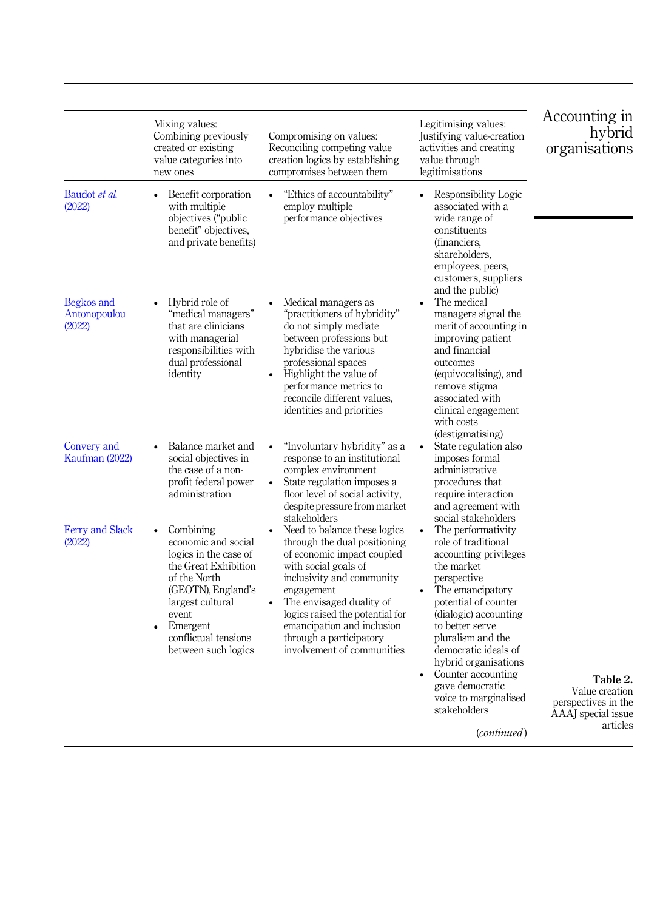<span id="page-6-0"></span>

|                                      | Mixing values:<br>Combining previously<br>created or existing<br>value categories into<br>new ones                                                                                                                           | Compromising on values:<br>Reconciling competing value<br>creation logics by establishing<br>compromises between them                                                                                                                                                                                               | Legitimising values:<br>Justifying value-creation<br>activities and creating<br>value through<br>legitimisations                                                                                                                                                                                                                                                           | Accounting in<br>hybrid<br>organisations                                            |
|--------------------------------------|------------------------------------------------------------------------------------------------------------------------------------------------------------------------------------------------------------------------------|---------------------------------------------------------------------------------------------------------------------------------------------------------------------------------------------------------------------------------------------------------------------------------------------------------------------|----------------------------------------------------------------------------------------------------------------------------------------------------------------------------------------------------------------------------------------------------------------------------------------------------------------------------------------------------------------------------|-------------------------------------------------------------------------------------|
| Baudot et al.<br>(2022)              | Benefit corporation<br>$\bullet$<br>with multiple<br>objectives ("public<br>benefit" objectives,<br>and private benefits)                                                                                                    | "Ethics of accountability"<br>$\bullet$<br>employ multiple<br>performance objectives                                                                                                                                                                                                                                | Responsibility Logic<br>$\bullet$<br>associated with a<br>wide range of<br>constituents<br>(financiers.<br>shareholders,<br>employees, peers,<br>customers, suppliers<br>and the public)                                                                                                                                                                                   |                                                                                     |
| Begkos and<br>Antonopoulou<br>(2022) | Hybrid role of<br>"medical managers"<br>that are clinicians<br>with managerial<br>responsibilities with<br>dual professional<br>identity                                                                                     | Medical managers as<br>"practitioners of hybridity"<br>do not simply mediate<br>between professions but<br>hybridise the various<br>professional spaces<br>Highlight the value of<br>performance metrics to<br>reconcile different values.<br>identities and priorities                                             | The medical<br>managers signal the<br>merit of accounting in<br>improving patient<br>and financial<br>outcomes<br>(equivocalising), and<br>remove stigma<br>associated with<br>clinical engagement<br>with costs<br>(destigmatising)                                                                                                                                       |                                                                                     |
| Convery and<br>Kaufman (2022)        | Balance market and<br>social objectives in<br>the case of a non-<br>profit federal power<br>administration                                                                                                                   | "Involuntary hybridity" as a<br>response to an institutional<br>complex environment<br>State regulation imposes a<br>floor level of social activity,<br>despite pressure from market<br>stakeholders                                                                                                                | State regulation also<br>imposes formal<br>administrative<br>procedures that<br>require interaction<br>and agreement with<br>social stakeholders                                                                                                                                                                                                                           |                                                                                     |
| <b>Ferry and Slack</b><br>(2022)     | Combining<br>economic and social<br>logics in the case of<br>the Great Exhibition<br>of the North<br>(GEOTN), England's<br>largest cultural<br>event<br>Emergent<br>$\bullet$<br>conflictual tensions<br>between such logics | Need to balance these logics<br>through the dual positioning<br>of economic impact coupled<br>with social goals of<br>inclusivity and community<br>engagement<br>The envisaged duality of<br>logics raised the potential for<br>emancipation and inclusion<br>through a participatory<br>involvement of communities | The performativity<br>role of traditional<br>accounting privileges<br>the market<br>perspective<br>The emancipatory<br>potential of counter<br>(dialogic) accounting<br>to better serve<br>pluralism and the<br>democratic ideals of<br>hybrid organisations<br>Counter accounting<br>$\bullet$<br>gave democratic<br>voice to marginalised<br>stakeholders<br>(continued) | Table 2.<br>Value creation<br>perspectives in the<br>AAAJ special issue<br>articles |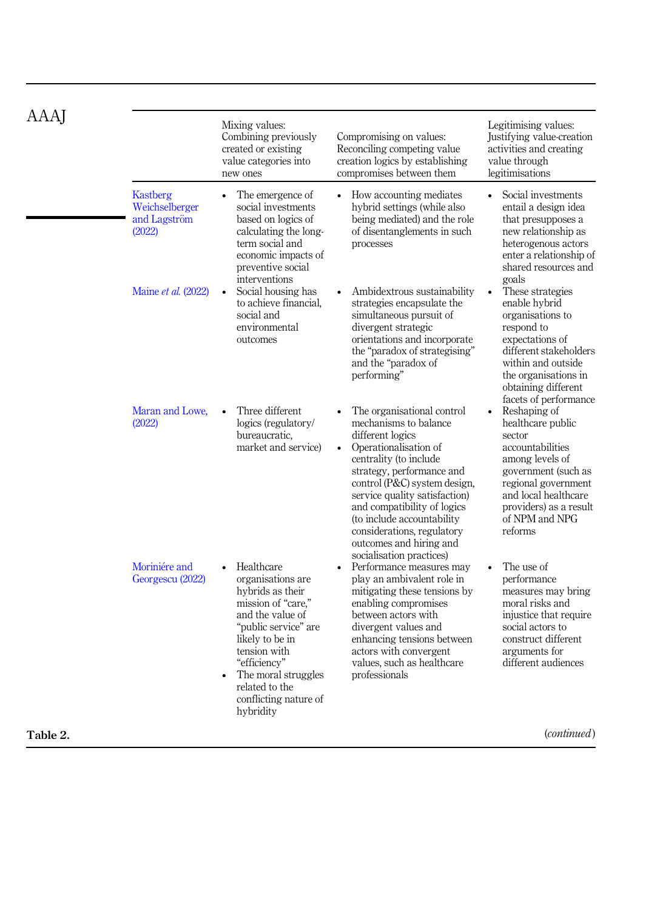| AAAJ     |                                                      | Mixing values:<br>Combining previously<br>created or existing<br>value categories into<br>new ones                                                                                                                                                      | Compromising on values:<br>Reconciling competing value<br>creation logics by establishing<br>compromises between them                                                                                                                                                                                                                                                         | Legitimising values:<br>Justifying value-creation<br>activities and creating<br>value through<br>legitimisations                                                                                                        |
|----------|------------------------------------------------------|---------------------------------------------------------------------------------------------------------------------------------------------------------------------------------------------------------------------------------------------------------|-------------------------------------------------------------------------------------------------------------------------------------------------------------------------------------------------------------------------------------------------------------------------------------------------------------------------------------------------------------------------------|-------------------------------------------------------------------------------------------------------------------------------------------------------------------------------------------------------------------------|
|          | Kastberg<br>Weichselberger<br>and Lagström<br>(2022) | The emergence of<br>$\bullet$<br>social investments<br>based on logics of<br>calculating the long-<br>term social and<br>economic impacts of<br>preventive social<br>interventions                                                                      | How accounting mediates<br>$\bullet$<br>hybrid settings (while also<br>being mediated) and the role<br>of disentanglements in such<br>processes                                                                                                                                                                                                                               | Social investments<br>$\bullet$<br>entail a design idea<br>that presupposes a<br>new relationship as<br>heterogenous actors<br>enter a relationship of<br>shared resources and                                          |
|          | Maine et al. (2022)                                  | Social housing has<br>to achieve financial,<br>social and<br>environmental<br>outcomes                                                                                                                                                                  | Ambidextrous sustainability<br>strategies encapsulate the<br>simultaneous pursuit of<br>divergent strategic<br>orientations and incorporate<br>the "paradox of strategising"<br>and the "paradox of<br>performing"                                                                                                                                                            | goals<br>These strategies<br>enable hybrid<br>organisations to<br>respond to<br>expectations of<br>different stakeholders<br>within and outside<br>the organisations in<br>obtaining different<br>facets of performance |
|          | Maran and Lowe.<br>(2022)                            | Three different<br>logics (regulatory/<br>bureaucratic,<br>market and service)                                                                                                                                                                          | The organisational control<br>mechanisms to balance<br>different logics<br>• Operationalisation of<br>centrality (to include<br>strategy, performance and<br>control (P&C) system design,<br>service quality satisfaction)<br>and compatibility of logics<br>(to include accountability)<br>considerations, regulatory<br>outcomes and hiring and<br>socialisation practices) | Reshaping of<br>healthcare public<br>sector<br>accountabilities<br>among levels of<br>government (such as<br>regional government<br>and local healthcare<br>providers) as a result<br>of NPM and NPG<br>reforms         |
|          | Moriniére and<br>Georgescu (2022)                    | Healthcare<br>organisations are<br>hybrids as their<br>mission of "care,"<br>and the value of<br>"public service" are<br>likely to be in<br>tension with<br>"efficiency"<br>The moral struggles<br>related to the<br>conflicting nature of<br>hybridity | Performance measures may<br>$\bullet$<br>play an ambivalent role in<br>mitigating these tensions by<br>enabling compromises<br>between actors with<br>divergent values and<br>enhancing tensions between<br>actors with convergent<br>values, such as healthcare<br>professionals                                                                                             | The use of<br>performance<br>measures may bring<br>moral risks and<br>injustice that require<br>social actors to<br>construct different<br>arguments for<br>different audiences                                         |
| Table 2. |                                                      |                                                                                                                                                                                                                                                         |                                                                                                                                                                                                                                                                                                                                                                               | ( <i>continued</i> )                                                                                                                                                                                                    |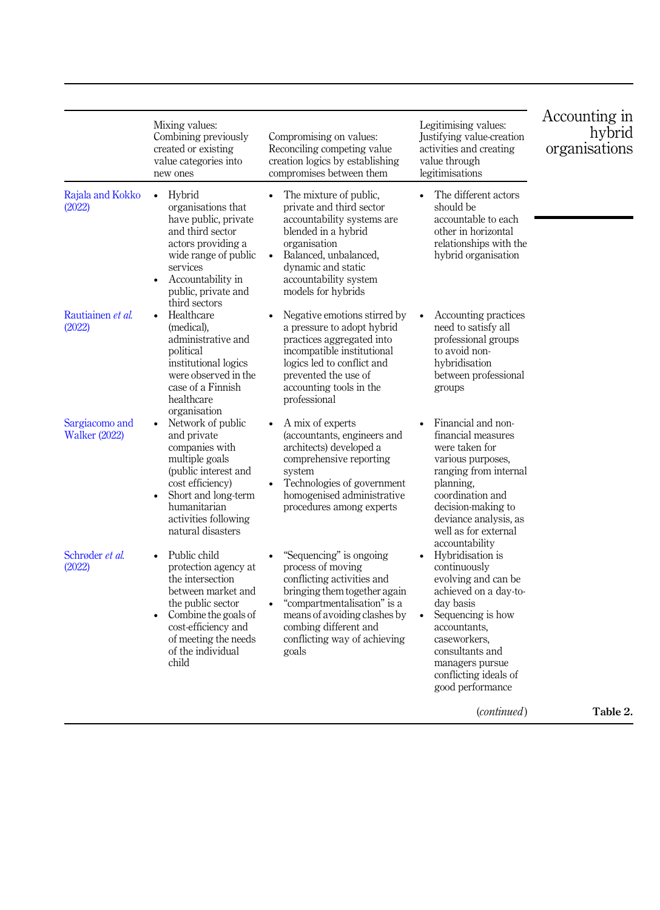|                                        | Mixing values:<br>Combining previously<br>created or existing<br>value categories into<br>new ones                                                                                                           | Compromising on values:<br>Reconciling competing value<br>creation logics by establishing<br>compromises between them                                                                                                                                    | Legitimising values:<br>Justifying value-creation<br>activities and creating<br>value through<br>legitimisations                                                                                                                       | Accounting in<br>hybrid<br>organisations |
|----------------------------------------|--------------------------------------------------------------------------------------------------------------------------------------------------------------------------------------------------------------|----------------------------------------------------------------------------------------------------------------------------------------------------------------------------------------------------------------------------------------------------------|----------------------------------------------------------------------------------------------------------------------------------------------------------------------------------------------------------------------------------------|------------------------------------------|
| Rajala and Kokko<br>(2022)             | Hybrid<br>$\bullet$<br>organisations that<br>have public, private<br>and third sector<br>actors providing a<br>wide range of public<br>services<br>Accountability in<br>public, private and<br>third sectors | The mixture of public,<br>private and third sector<br>accountability systems are<br>blended in a hybrid<br>organisation<br>Balanced, unbalanced,<br>$\bullet$<br>dynamic and static<br>accountability system<br>models for hybrids                       | The different actors<br>$\bullet$<br>should be<br>accountable to each<br>other in horizontal<br>relationships with the<br>hybrid organisation                                                                                          |                                          |
| Rautiainen et al.<br>(2022)            | Healthcare<br>(medical),<br>administrative and<br>political<br>institutional logics<br>were observed in the<br>case of a Finnish<br>healthcare<br>organisation                                               | Negative emotions stirred by<br>a pressure to adopt hybrid<br>practices aggregated into<br>incompatible institutional<br>logics led to conflict and<br>prevented the use of<br>accounting tools in the<br>professional                                   | Accounting practices<br>need to satisfy all<br>professional groups<br>to avoid non-<br>hybridisation<br>between professional<br>groups                                                                                                 |                                          |
| Sargiacomo and<br><b>Walker (2022)</b> | Network of public<br>and private<br>companies with<br>multiple goals<br>(public interest and<br>cost efficiency)<br>Short and long-term<br>humanitarian<br>activities following<br>natural disasters         | A mix of experts<br>(accountants, engineers and<br>architects) developed a<br>comprehensive reporting<br>system<br>Technologies of government<br>$\bullet$<br>homogenised administrative<br>procedures among experts                                     | Financial and non-<br>financial measures<br>were taken for<br>various purposes,<br>ranging from internal<br>planning.<br>coordination and<br>decision-making to<br>deviance analysis, as<br>well as for external<br>accountability     |                                          |
| Schrøder et al.<br>(2022)              | Public child<br>protection agency at<br>the intersection<br>between market and<br>the public sector<br>Combine the goals of<br>cost-efficiency and<br>of meeting the needs<br>of the individual<br>child     | "Sequencing" is ongoing<br>process of moving<br>conflicting activities and<br>bringing them together again<br>"compartmentalisation" is a<br>$\bullet$<br>means of avoiding clashes by<br>combing different and<br>conflicting way of achieving<br>goals | Hybridisation is<br>continuously<br>evolving and can be.<br>achieved on a day-to-<br>day basis<br>Sequencing is how<br>accountants,<br>caseworkers.<br>consultants and<br>managers pursue<br>conflicting ideals of<br>good performance |                                          |
|                                        |                                                                                                                                                                                                              |                                                                                                                                                                                                                                                          | (continued)                                                                                                                                                                                                                            | Table 2.                                 |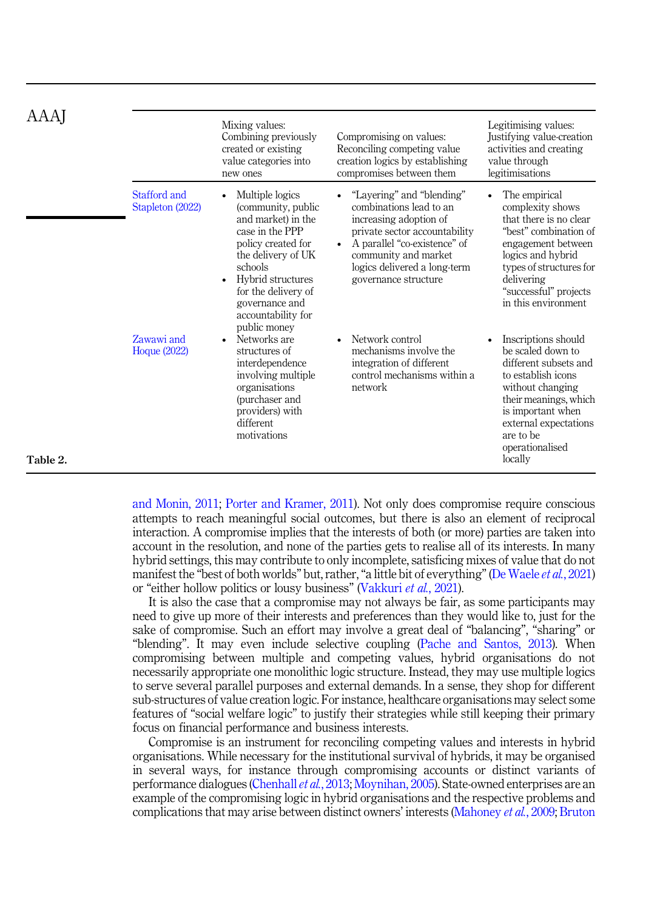|          |                                   | Mixing values:<br>Combining previously<br>created or existing<br>value categories into<br>new ones                                                                                                                                         | Compromising on values:<br>Reconciling competing value<br>creation logics by establishing<br>compromises between them                                                                                                           | Legitimising values:<br>Justifying value-creation<br>activities and creating<br>value through<br>legitimisations                                                                                                         |
|----------|-----------------------------------|--------------------------------------------------------------------------------------------------------------------------------------------------------------------------------------------------------------------------------------------|---------------------------------------------------------------------------------------------------------------------------------------------------------------------------------------------------------------------------------|--------------------------------------------------------------------------------------------------------------------------------------------------------------------------------------------------------------------------|
|          | Stafford and<br>Stapleton (2022)  | Multiple logics<br>(community, public)<br>and market) in the<br>case in the PPP<br>policy created for<br>the delivery of UK<br>schools<br>Hybrid structures<br>for the delivery of<br>governance and<br>accountability for<br>public money | "Layering" and "blending"<br>combinations lead to an<br>increasing adoption of<br>private sector accountability<br>A parallel "co-existence" of<br>community and market<br>logics delivered a long-term<br>governance structure | The empirical<br>complexity shows<br>that there is no clear<br>"best" combination of<br>engagement between<br>logics and hybrid<br>types of structures for<br>delivering<br>"successful" projects<br>in this environment |
|          | Zawawi and<br><b>Hoque (2022)</b> | Networks are<br>$\bullet$<br>structures of<br>interdependence<br>involving multiple<br>organisations<br>(purchaser and<br>providers) with<br>different<br>motivations                                                                      | Network control<br>mechanisms involve the<br>integration of different<br>control mechanisms within a<br>network                                                                                                                 | Inscriptions should<br>be scaled down to<br>different subsets and<br>to establish icons<br>without changing<br>their meanings, which<br>is important when<br>external expectations<br>are to be<br>operationalised       |
| Table 2. |                                   |                                                                                                                                                                                                                                            |                                                                                                                                                                                                                                 | locally                                                                                                                                                                                                                  |

[and Monin, 2011;](#page-17-0) [Porter and Kramer, 2011\)](#page-19-0). Not only does compromise require conscious attempts to reach meaningful social outcomes, but there is also an element of reciprocal interaction. A compromise implies that the interests of both (or more) parties are taken into account in the resolution, and none of the parties gets to realise all of its interests. In many hybrid settings, this may contribute to only incomplete, satisficing mixes of value that do not manifest the "best of both worlds" but, rather, "a little bit of everything" ([De Waele](#page-16-0) et al., 2021) or "either hollow politics or lousy business" [\(Vakkuri](#page-20-0) et al., 2021).

It is also the case that a compromise may not always be fair, as some participants may need to give up more of their interests and preferences than they would like to, just for the sake of compromise. Such an effort may involve a great deal of "balancing", "sharing" or "blending". It may even include selective coupling [\(Pache and Santos, 2013\)](#page-19-0). When compromising between multiple and competing values, hybrid organisations do not necessarily appropriate one monolithic logic structure. Instead, they may use multiple logics to serve several parallel purposes and external demands. In a sense, they shop for different sub-structures of value creation logic. For instance, healthcare organisations may select some features of "social welfare logic" to justify their strategies while still keeping their primary focus on financial performance and business interests.

Compromise is an instrument for reconciling competing values and interests in hybrid organisations. While necessary for the institutional survival of hybrids, it may be organised in several ways, for instance through compromising accounts or distinct variants of performance dialogues ([Chenhall](#page-16-0) *et al.*, 2013; [Moynihan, 2005\)](#page-18-0). State-owned enterprises are an example of the compromising logic in hybrid organisations and the respective problems and complications that may arise between distinct owners' interests ([Mahoney](#page-18-0) et al., 2009; [Bruton](#page-16-0)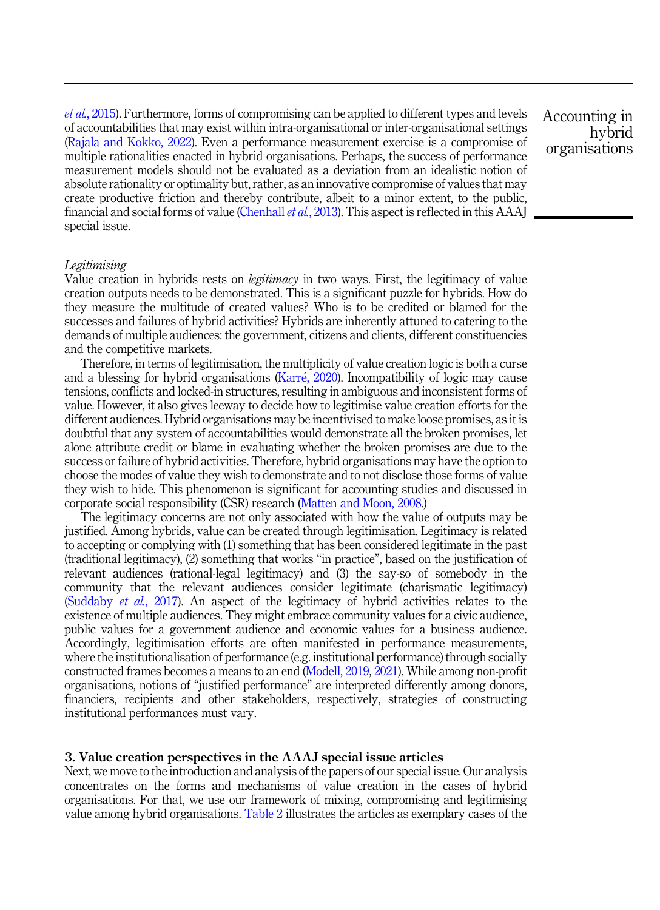<span id="page-10-0"></span>et al.[, 2015\)](#page-16-0). Furthermore, forms of compromising can be applied to different types and levels of accountabilities that may exist within intra-organisational or inter-organisational settings ([Rajala and Kokko, 2022](#page-19-0)). Even a performance measurement exercise is a compromise of multiple rationalities enacted in hybrid organisations. Perhaps, the success of performance measurement models should not be evaluated as a deviation from an idealistic notion of absolute rationality or optimality but, rather, as an innovative compromise of values that may create productive friction and thereby contribute, albeit to a minor extent, to the public, financial and social forms of value [\(Chenhall](#page-16-0) et al., 2013). This aspect is reflected in this AAAJ special issue.

#### Legitimising

Value creation in hybrids rests on *legitimacy* in two ways. First, the legitimacy of value creation outputs needs to be demonstrated. This is a significant puzzle for hybrids. How do they measure the multitude of created values? Who is to be credited or blamed for the successes and failures of hybrid activities? Hybrids are inherently attuned to catering to the demands of multiple audiences: the government, citizens and clients, different constituencies and the competitive markets.

Therefore, in terms of legitimisation, the multiplicity of value creation logic is both a curse and a blessing for hybrid organisations ([Karr](#page-17-0)é, 2020). Incompatibility of logic may cause tensions, conflicts and locked-in structures, resulting in ambiguous and inconsistent forms of value. However, it also gives leeway to decide how to legitimise value creation efforts for the different audiences. Hybrid organisations may be incentivised to make loose promises, as it is doubtful that any system of accountabilities would demonstrate all the broken promises, let alone attribute credit or blame in evaluating whether the broken promises are due to the success or failure of hybrid activities. Therefore, hybrid organisations may have the option to choose the modes of value they wish to demonstrate and to not disclose those forms of value they wish to hide. This phenomenon is significant for accounting studies and discussed in corporate social responsibility (CSR) research [\(Matten and Moon, 2008.](#page-18-0))

The legitimacy concerns are not only associated with how the value of outputs may be justified. Among hybrids, value can be created through legitimisation. Legitimacy is related to accepting or complying with (1) something that has been considered legitimate in the past (traditional legitimacy), (2) something that works "in practice", based on the justification of relevant audiences (rational-legal legitimacy) and (3) the say-so of somebody in the community that the relevant audiences consider legitimate (charismatic legitimacy) ([Suddaby](#page-19-0) et al., 2017). An aspect of the legitimacy of hybrid activities relates to the existence of multiple audiences. They might embrace community values for a civic audience, public values for a government audience and economic values for a business audience. Accordingly, legitimisation efforts are often manifested in performance measurements, where the institutionalisation of performance (e.g. institutional performance) through socially constructed frames becomes a means to an end ([Modell, 2019](#page-18-0), [2021\)](#page-18-0). While among non-profit organisations, notions of "justified performance" are interpreted differently among donors, financiers, recipients and other stakeholders, respectively, strategies of constructing institutional performances must vary.

#### 3. Value creation perspectives in the AAAJ special issue articles

Next, we move to the introduction and analysis of the papers of our special issue. Our analysis concentrates on the forms and mechanisms of value creation in the cases of hybrid organisations. For that, we use our framework of mixing, compromising and legitimising value among hybrid organisations. [Table 2](#page-6-0) illustrates the articles as exemplary cases of the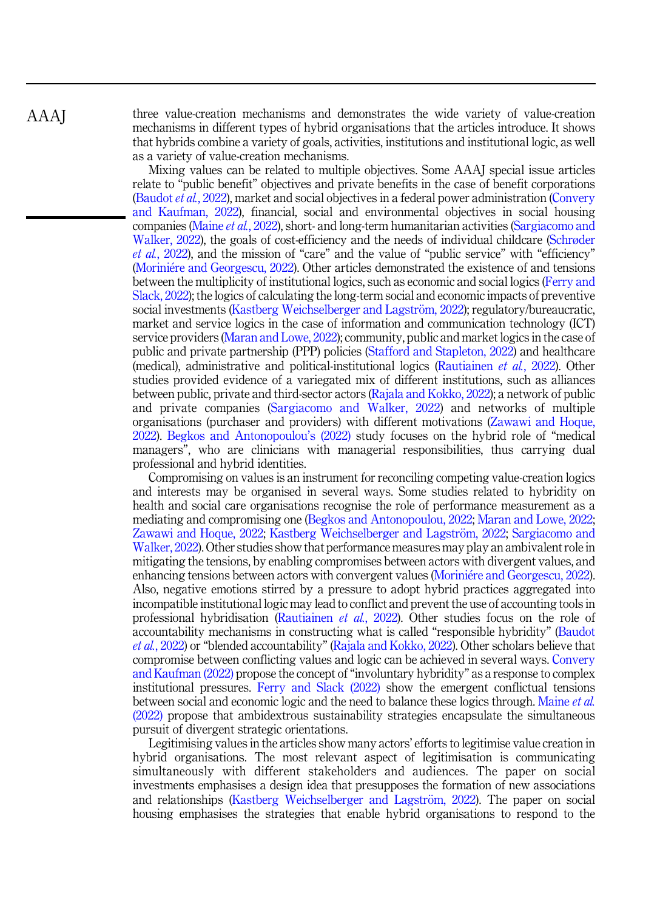three value-creation mechanisms and demonstrates the wide variety of value-creation mechanisms in different types of hybrid organisations that the articles introduce. It shows that hybrids combine a variety of goals, activities, institutions and institutional logic, as well as a variety of value-creation mechanisms.

Mixing values can be related to multiple objectives. Some AAAJ special issue articles relate to "public benefit" objectives and private benefits in the case of benefit corporations ([Baudot](#page-15-0) et al., 2022), market and social objectives in a federal power administration ([Convery](#page-16-0) [and Kaufman, 2022](#page-16-0)), financial, social and environmental objectives in social housing companies ([Maine](#page-18-0) et al., 2022), short- and long-term humanitarian activities [\(Sargiacomo and](#page-19-0) [Walker, 2022\)](#page-19-0), the goals of cost-efficiency and the needs of individual childcare [\(Schrøder](#page-19-0) et al.[, 2022](#page-19-0)), and the mission of "care" and the value of "public service" with "efficiency" ([Morini](#page-18-0)é[re and Georgescu, 2022\)](#page-18-0). Other articles demonstrated the existence of and tensions between the multiplicity of institutional logics, such as economic and social logics ([Ferry and](#page-16-0) [Slack, 2022](#page-16-0)); the logics of calculating the long-term social and economic impacts of preventive social investments [\(Kastberg Weichselberger and Lagstr](#page-17-0)ö[m, 2022\)](#page-17-0); regulatory/bureaucratic, market and service logics in the case of information and communication technology (ICT) service providers ([Maran and Lowe, 2022\)](#page-18-0); community, public and market logics in the case of public and private partnership (PPP) policies [\(Stafford and Stapleton, 2022\)](#page-19-0) and healthcare (medical), administrative and political-institutional logics ([Rautiainen](#page-19-0) et al., 2022). Other studies provided evidence of a variegated mix of different institutions, such as alliances between public, private and third-sector actors ([Rajala and Kokko, 2022](#page-19-0)); a network of public and private companies ([Sargiacomo and Walker, 2022](#page-19-0)) and networks of multiple organisations (purchaser and providers) with different motivations ([Zawawi and Hoque,](#page-20-0) [2022\)](#page-20-0). [Begkos and Antonopoulou](#page-16-0)'s (2022) study focuses on the hybrid role of "medical managers", who are clinicians with managerial responsibilities, thus carrying dual professional and hybrid identities.

Compromising on values is an instrument for reconciling competing value-creation logics and interests may be organised in several ways. Some studies related to hybridity on health and social care organisations recognise the role of performance measurement as a mediating and compromising one [\(Begkos and Antonopoulou, 2022](#page-16-0); [Maran and Lowe, 2022](#page-18-0); [Zawawi and Hoque, 2022;](#page-20-0) [Kastberg Weichselberger and Lagstr](#page-17-0)öm, 2022; [Sargiacomo and](#page-19-0) [Walker, 2022](#page-19-0)). Other studies show that performance measures may play an ambivalent role in mitigating the tensions, by enabling compromises between actors with divergent values, and enhancing tensions between actors with convergent values ([Morini](#page-18-0)é[re and Georgescu, 2022\)](#page-18-0). Also, negative emotions stirred by a pressure to adopt hybrid practices aggregated into incompatible institutional logic may lead to conflict and prevent the use of accounting tools in professional hybridisation ([Rautiainen](#page-19-0) et al., 2022). Other studies focus on the role of accountability mechanisms in constructing what is called "responsible hybridity" [\(Baudot](#page-15-0) et al.[, 2022\)](#page-15-0) or "blended accountability" [\(Rajala and Kokko, 2022](#page-19-0)). Other scholars believe that compromise between conflicting values and logic can be achieved in several ways. [Convery](#page-16-0) [and Kaufman \(2022\)](#page-16-0) propose the concept of"involuntary hybridity" as a response to complex institutional pressures. [Ferry and Slack \(2022\)](#page-16-0) show the emergent conflictual tensions between social and economic logic and the need to balance these logics through. [Maine](#page-18-0) *et al.* [\(2022\)](#page-18-0) propose that ambidextrous sustainability strategies encapsulate the simultaneous pursuit of divergent strategic orientations.

Legitimising values in the articles show many actors' efforts to legitimise value creation in hybrid organisations. The most relevant aspect of legitimisation is communicating simultaneously with different stakeholders and audiences. The paper on social investments emphasises a design idea that presupposes the formation of new associations and relationships ([Kastberg Weichselberger and Lagstr](#page-17-0)öm, 2022). The paper on social housing emphasises the strategies that enable hybrid organisations to respond to the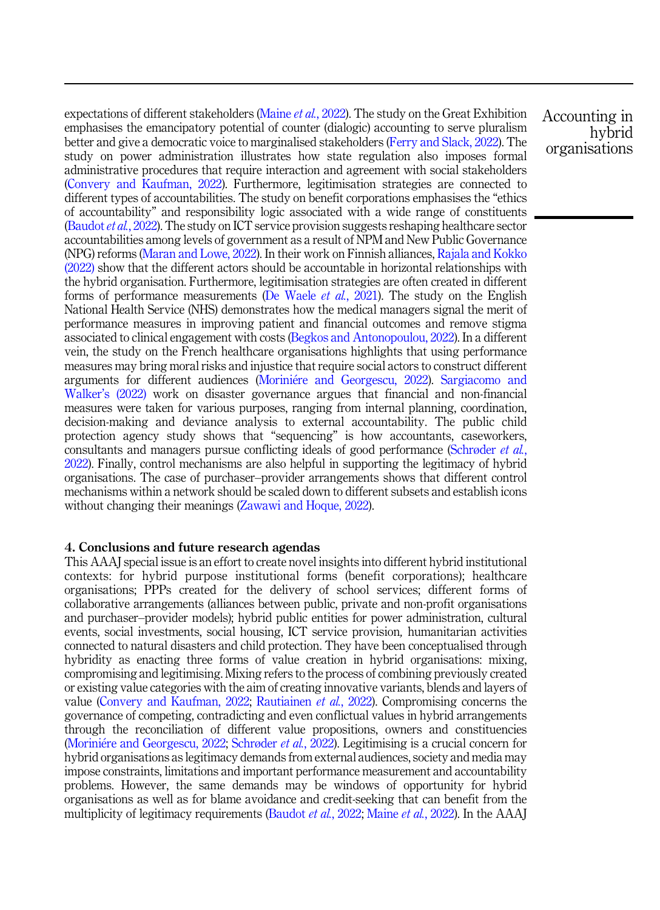expectations of different stakeholders [\(Maine](#page-18-0) *et al.*, 2022). The study on the Great Exhibition emphasises the emancipatory potential of counter (dialogic) accounting to serve pluralism better and give a democratic voice to marginalised stakeholders [\(Ferry and Slack, 2022\)](#page-16-0). The study on power administration illustrates how state regulation also imposes formal administrative procedures that require interaction and agreement with social stakeholders ([Convery and Kaufman, 2022\)](#page-16-0). Furthermore, legitimisation strategies are connected to different types of accountabilities. The study on benefit corporations emphasises the "ethics of accountability" and responsibility logic associated with a wide range of constituents ([Baudot](#page-15-0) *et al.*, 2022). The study on ICT service provision suggests reshaping healthcare sector accountabilities among levels of government as a result of NPM and New Public Governance (NPG) reforms ([Maran and Lowe, 2022\)](#page-18-0). In their work on Finnish alliances, [Rajala and Kokko](#page-19-0) [\(2022\)](#page-19-0) show that the different actors should be accountable in horizontal relationships with the hybrid organisation. Furthermore, legitimisation strategies are often created in different forms of performance measurements [\(De Waele](#page-16-0) *et al.*, 2021). The study on the English National Health Service (NHS) demonstrates how the medical managers signal the merit of performance measures in improving patient and financial outcomes and remove stigma associated to clinical engagement with costs ([Begkos and Antonopoulou, 2022\)](#page-16-0). In a different vein, the study on the French healthcare organisations highlights that using performance measures may bring moral risks and injustice that require social actors to construct different arguments for different audiences ([Morini](#page-18-0)é[re and Georgescu, 2022](#page-18-0)). [Sargiacomo and](#page-19-0) Walker'[s \(2022\)](#page-19-0) work on disaster governance argues that financial and non-financial measures were taken for various purposes, ranging from internal planning, coordination, decision-making and deviance analysis to external accountability. The public child protection agency study shows that "sequencing" is how accountants, caseworkers, consultants and managers pursue conflicting ideals of good performance ([Schrøder](#page-19-0) et al., [2022\)](#page-19-0). Finally, control mechanisms are also helpful in supporting the legitimacy of hybrid organisations. The case of purchaser–provider arrangements shows that different control mechanisms within a network should be scaled down to different subsets and establish icons without changing their meanings ([Zawawi and Hoque, 2022\)](#page-20-0).

# 4. Conclusions and future research agendas

This AAAJ special issue is an effort to create novel insights into different hybrid institutional contexts: for hybrid purpose institutional forms (benefit corporations); healthcare organisations; PPPs created for the delivery of school services; different forms of collaborative arrangements (alliances between public, private and non-profit organisations and purchaser–provider models); hybrid public entities for power administration, cultural events, social investments, social housing, ICT service provision, humanitarian activities connected to natural disasters and child protection. They have been conceptualised through hybridity as enacting three forms of value creation in hybrid organisations: mixing, compromising and legitimising. Mixing refers to the process of combining previously created or existing value categories with the aim of creating innovative variants, blends and layers of value ([Convery and Kaufman, 2022](#page-16-0); [Rautiainen](#page-19-0) et al., 2022). Compromising concerns the governance of competing, contradicting and even conflictual values in hybrid arrangements through the reconciliation of different value propositions, owners and constituencies ([Morini](#page-18-0)é[re and Georgescu, 2022;](#page-18-0) [Schrøder](#page-19-0) et al., 2022). Legitimising is a crucial concern for hybrid organisations as legitimacy demands from external audiences, society and media may impose constraints, limitations and important performance measurement and accountability problems. However, the same demands may be windows of opportunity for hybrid organisations as well as for blame avoidance and credit-seeking that can benefit from the multiplicity of legitimacy requirements ([Baudot](#page-15-0) *et al.*, 2022; [Maine](#page-18-0) *et al.*, 2022). In the AAAJ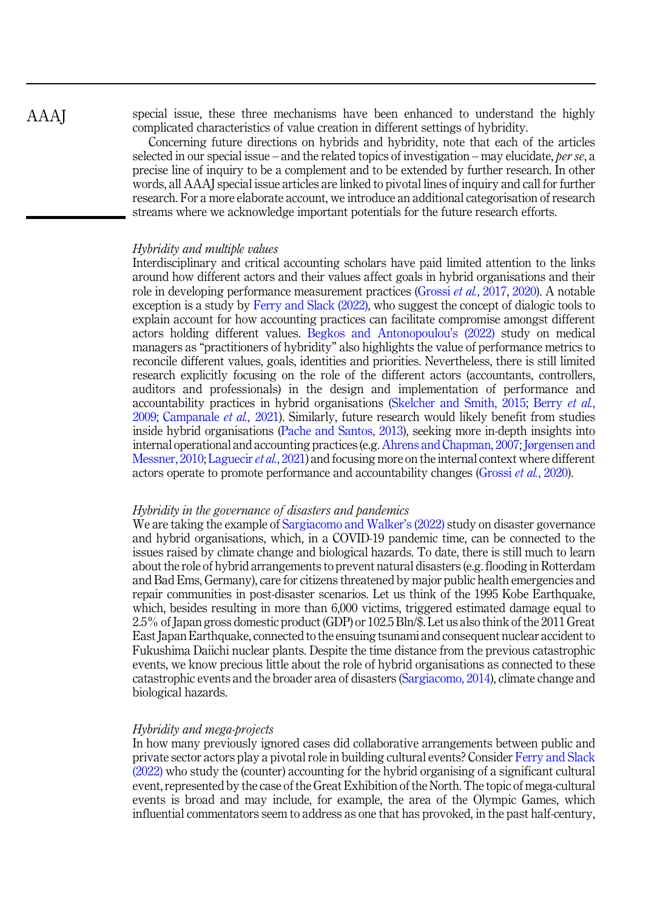AAAJ

special issue, these three mechanisms have been enhanced to understand the highly complicated characteristics of value creation in different settings of hybridity.

Concerning future directions on hybrids and hybridity, note that each of the articles selected in our special issue – and the related topics of investigation – may elucidate, *per se*, a precise line of inquiry to be a complement and to be extended by further research. In other words, all AAAJ special issue articles are linked to pivotal lines of inquiry and call for further research. For a more elaborate account, we introduce an additional categorisation of research streams where we acknowledge important potentials for the future research efforts.

# Hybridity and multiple values

Interdisciplinary and critical accounting scholars have paid limited attention to the links around how different actors and their values affect goals in hybrid organisations and their role in developing performance measurement practices [\(Grossi](#page-17-0) et al., 2017, [2020\)](#page-17-0). A notable exception is a study by [Ferry and Slack \(2022\)](#page-16-0), who suggest the concept of dialogic tools to explain account for how accounting practices can facilitate compromise amongst different actors holding different values. [Begkos and Antonopoulou](#page-16-0)'s (2022) study on medical managers as "practitioners of hybridity" also highlights the value of performance metrics to reconcile different values, goals, identities and priorities. Nevertheless, there is still limited research explicitly focusing on the role of the different actors (accountants, controllers, auditors and professionals) in the design and implementation of performance and accountability practices in hybrid organisations ([Skelcher and Smith, 2015](#page-19-0); [Berry](#page-16-0) et al., [2009;](#page-16-0) [Campanale](#page-16-0) et al., 2021). Similarly, future research would likely benefit from studies inside hybrid organisations [\(Pache and Santos, 2013](#page-19-0)), seeking more in-depth insights into internal operational and accounting practices (e.g. [Ahrens and Chapman, 2007](#page-15-0); [Jørgensen and](#page-17-0) [Messner, 2010](#page-17-0); [Laguecir](#page-18-0) *et al.*, 2021) and focusing more on the internal context where different actors operate to promote performance and accountability changes [\(Grossi](#page-17-0) et al., 2020).

# Hybridity in the governance of disasters and pandemics

We are taking the example of [Sargiacomo and Walker](#page-19-0)'s (2022) study on disaster governance and hybrid organisations, which, in a COVID-19 pandemic time, can be connected to the issues raised by climate change and biological hazards. To date, there is still much to learn about the role of hybrid arrangements to prevent natural disasters (e.g. flooding in Rotterdam and Bad Ems, Germany), care for citizens threatened by major public health emergencies and repair communities in post-disaster scenarios. Let us think of the 1995 Kobe Earthquake, which, besides resulting in more than 6,000 victims, triggered estimated damage equal to 2.5% of Japan gross domestic product (GDP) or 102.5 Bln/\$. Let us also think of the 2011 Great East Japan Earthquake, connected to the ensuing tsunami and consequent nuclear accident to Fukushima Daiichi nuclear plants. Despite the time distance from the previous catastrophic events, we know precious little about the role of hybrid organisations as connected to these catastrophic events and the broader area of disasters ([Sargiacomo, 2014\)](#page-19-0), climate change and biological hazards.

#### Hybridity and mega-projects

In how many previously ignored cases did collaborative arrangements between public and private sector actors play a pivotal role in building cultural events? Consider [Ferry and Slack](#page-16-0) [\(2022\)](#page-16-0) who study the (counter) accounting for the hybrid organising of a significant cultural event, represented by the case of the Great Exhibition of the North. The topic of mega-cultural events is broad and may include, for example, the area of the Olympic Games, which influential commentators seem to address as one that has provoked, in the past half-century,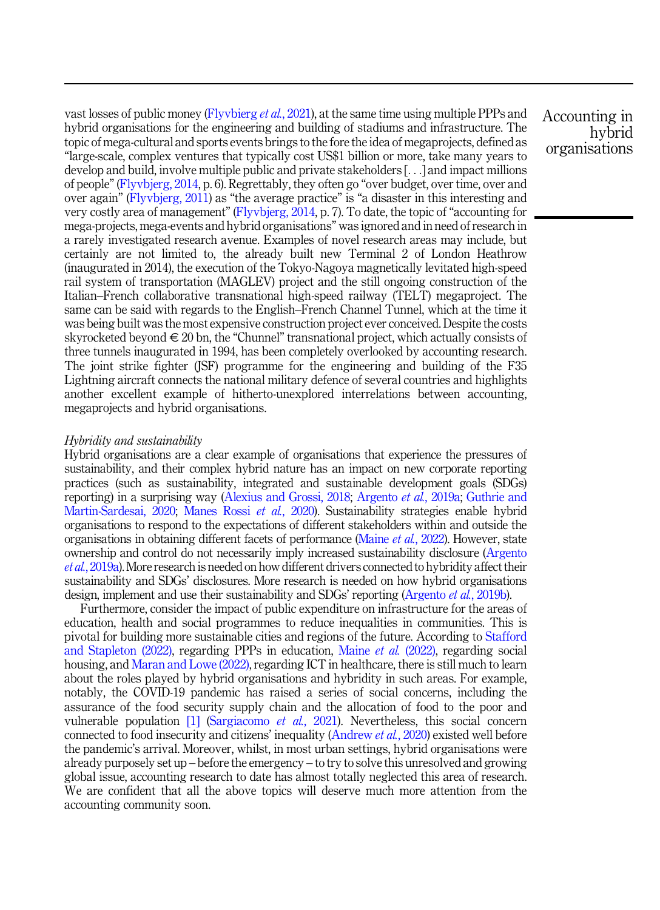vast losses of public money [\(Flyvbierg](#page-16-0) et al., 2021), at the same time using multiple PPPs and hybrid organisations for the engineering and building of stadiums and infrastructure. The topic of mega-cultural and sports events brings to the fore the idea of megaprojects, defined as "large-scale, complex ventures that typically cost US\$1 billion or more, take many years to develop and build, involve multiple public and private stakeholders [...] and impact millions of people" ([Flyvbjerg, 2014](#page-16-0), p. 6). Regrettably, they often go "over budget, over time, over and over again" ([Flyvbjerg, 2011](#page-16-0)) as "the average practice" is "a disaster in this interesting and very costly area of management" ([Flyvbjerg, 2014,](#page-16-0) p. 7). To date, the topic of "accounting for mega-projects, mega-events and hybrid organisations" was ignored and in need of research in a rarely investigated research avenue. Examples of novel research areas may include, but certainly are not limited to, the already built new Terminal 2 of London Heathrow (inaugurated in 2014), the execution of the Tokyo-Nagoya magnetically levitated high-speed rail system of transportation (MAGLEV) project and the still ongoing construction of the Italian–French collaborative transnational high-speed railway (TELT) megaproject. The same can be said with regards to the English–French Channel Tunnel, which at the time it was being built was the most expensive construction project ever conceived. Despite the costs skyrocketed beyond  $\in$  20 bn, the "Chunnel" transnational project, which actually consists of three tunnels inaugurated in 1994, has been completely overlooked by accounting research. The joint strike fighter (JSF) programme for the engineering and building of the F35 Lightning aircraft connects the national military defence of several countries and highlights another excellent example of hitherto-unexplored interrelations between accounting, megaprojects and hybrid organisations.

# Hybridity and sustainability

Hybrid organisations are a clear example of organisations that experience the pressures of sustainability, and their complex hybrid nature has an impact on new corporate reporting practices (such as sustainability, integrated and sustainable development goals (SDGs) reporting) in a surprising way ([Alexius and Grossi, 2018;](#page-15-0) [Argento](#page-15-0) et al., 2019a; [Guthrie and](#page-17-0) [Martin-Sardesai, 2020](#page-17-0); [Manes Rossi](#page-18-0) et al., 2020). Sustainability strategies enable hybrid organisations to respond to the expectations of different stakeholders within and outside the organisations in obtaining different facets of performance [\(Maine](#page-18-0) et al., 2022). However, state ownership and control do not necessarily imply increased sustainability disclosure [\(Argento](#page-15-0) et al.[, 2019a\)](#page-15-0). More research is needed on how different drivers connected to hybridity affect their sustainability and SDGs' disclosures. More research is needed on how hybrid organisations design, implement and use their sustainability and SDGs' reporting ([Argento](#page-15-0) *et al.*, 2019b).

Furthermore, consider the impact of public expenditure on infrastructure for the areas of education, health and social programmes to reduce inequalities in communities. This is pivotal for building more sustainable cities and regions of the future. According to [Stafford](#page-19-0) and Stapleton  $(2022)$ , regarding PPPs in education, [Maine](#page-18-0) *et al.*  $(2022)$ , regarding social housing, and [Maran and Lowe \(2022\)](#page-18-0), regarding ICT in healthcare, there is still much to learn about the roles played by hybrid organisations and hybridity in such areas. For example, notably, the COVID-19 pandemic has raised a series of social concerns, including the assurance of the food security supply chain and the allocation of food to the poor and vulnerable population  $[1]$  ([Sargiacomo](#page-19-0) *et al.*, 2021). Nevertheless, this social concern connected to food insecurity and citizens' inequality ([Andrew](#page-15-0) et al., 2020) existed well before the pandemic's arrival. Moreover, whilst, in most urban settings, hybrid organisations were already purposely set up – before the emergency – to try to solve this unresolved and growing global issue, accounting research to date has almost totally neglected this area of research. We are confident that all the above topics will deserve much more attention from the accounting community soon.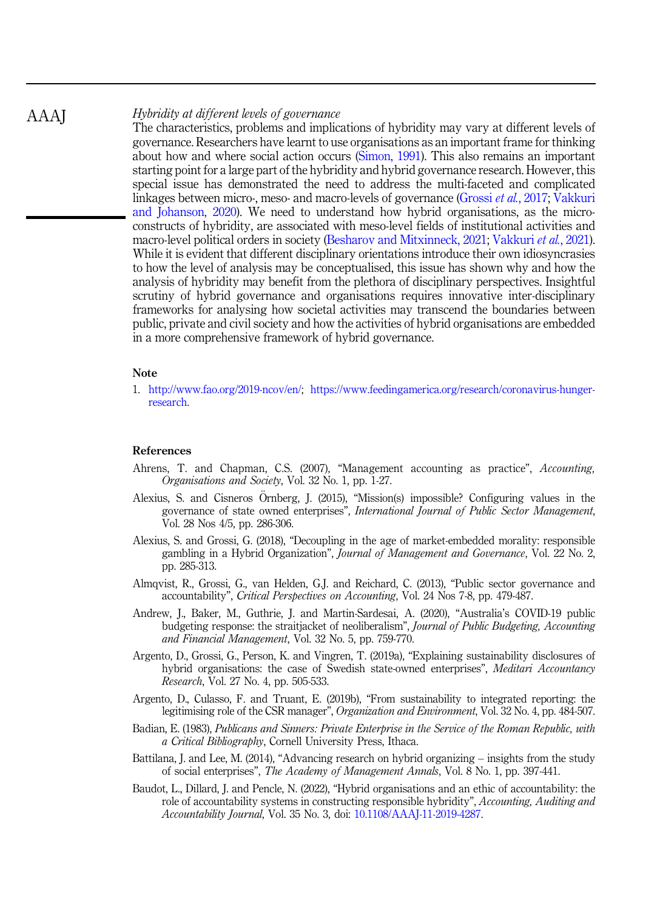#### <span id="page-15-0"></span>Hybridity at different levels of governance AAAJ

The characteristics, problems and implications of hybridity may vary at different levels of governance. Researchers have learnt to use organisations as an important frame for thinking about how and where social action occurs [\(Simon, 1991\)](#page-19-0). This also remains an important starting point for a large part of the hybridity and hybrid governance research. However, this special issue has demonstrated the need to address the multi-faceted and complicated linkages between micro-, meso- and macro-levels of governance ([Grossi](#page-17-0) et al., 2017; [Vakkuri](#page-20-0) [and Johanson, 2020\)](#page-20-0). We need to understand how hybrid organisations, as the microconstructs of hybridity, are associated with meso-level fields of institutional activities and macro-level political orders in society [\(Besharov and Mitxinneck, 2021](#page-16-0); [Vakkuri](#page-20-0) et al., 2021). While it is evident that different disciplinary orientations introduce their own idiosyncrasies to how the level of analysis may be conceptualised, this issue has shown why and how the analysis of hybridity may benefit from the plethora of disciplinary perspectives. Insightful scrutiny of hybrid governance and organisations requires innovative inter-disciplinary frameworks for analysing how societal activities may transcend the boundaries between public, private and civil society and how the activities of hybrid organisations are embedded in a more comprehensive framework of hybrid governance.

#### Note

1. <http://www.fao.org/2019-ncov/en/>; [https://www.feedingamerica.org/research/coronavirus-hunger](https://www.feedingamerica.org/research/coronavirus-hunger-research)[research.](https://www.feedingamerica.org/research/coronavirus-hunger-research)

#### References

- Ahrens, T. and Chapman, C.S. (2007), "Management accounting as practice", Accounting, Organisations and Society, Vol. 32 No. 1, pp. 1-27.
- Alexius, S. and Cisneros Ornberg, J. (2015), "Mission(s) impossible? Configuring values in the governance of state owned enterprises", International Journal of Public Sector Management, Vol. 28 Nos 4/5, pp. 286-306.
- Alexius, S. and Grossi, G. (2018), "Decoupling in the age of market-embedded morality: responsible gambling in a Hybrid Organization", Journal of Management and Governance, Vol. 22 No. 2, pp. 285-313.
- Almqvist, R., Grossi, G., van Helden, G.J. and Reichard, C. (2013), "Public sector governance and accountability", Critical Perspectives on Accounting, Vol. 24 Nos 7-8, pp. 479-487.
- Andrew, J., Baker, M., Guthrie, J. and Martin-Sardesai, A. (2020), "Australia's COVID-19 public budgeting response: the straitjacket of neoliberalism", Journal of Public Budgeting, Accounting and Financial Management, Vol. 32 No. 5, pp. 759-770.
- Argento, D., Grossi, G., Person, K. and Vingren, T. (2019a), "Explaining sustainability disclosures of hybrid organisations: the case of Swedish state-owned enterprises", Meditari Accountancy Research, Vol. 27 No. 4, pp. 505-533.
- Argento, D., Culasso, F. and Truant, E. (2019b), "From sustainability to integrated reporting: the legitimising role of the CSR manager", Organization and Environment, Vol. 32 No. 4, pp. 484-507.
- Badian, E. (1983), Publicans and Sinners: Private Enterprise in the Service of the Roman Republic, with a Critical Bibliography, Cornell University Press, Ithaca.
- Battilana, I. and Lee, M. (2014), "Advancing research on hybrid organizing insights from the study of social enterprises", The Academy of Management Annals, Vol. 8 No. 1, pp. 397-441.
- Baudot, L., Dillard, J. and Pencle, N. (2022), "Hybrid organisations and an ethic of accountability: the role of accountability systems in constructing responsible hybridity", Accounting, Auditing and Accountability Journal, Vol. 35 No. 3, doi: [10.1108/AAAJ-11-2019-4287.](https://doi.org/10.1108/AAAJ-11-2019-4287)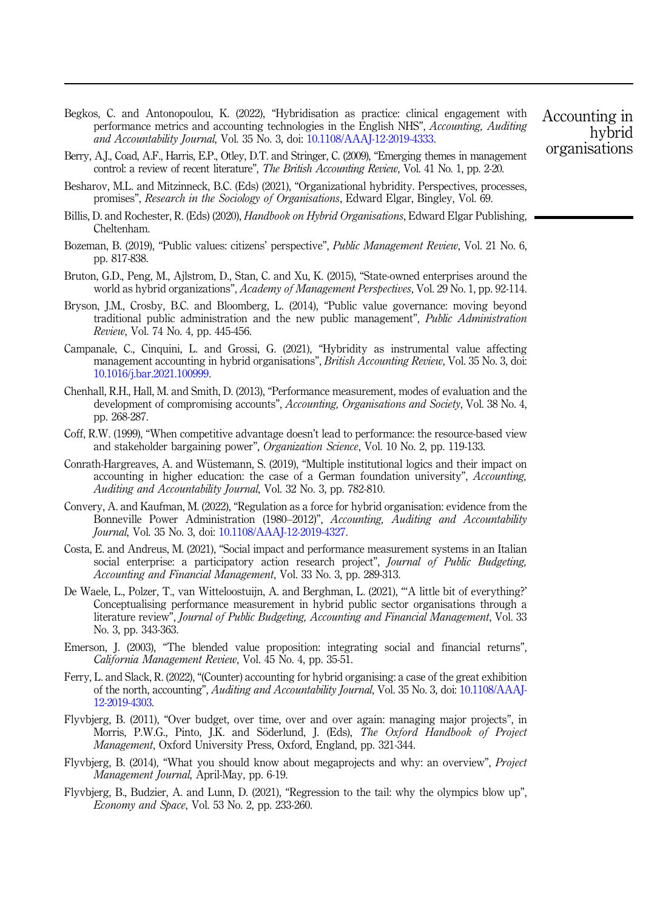- <span id="page-16-0"></span>Begkos, C. and Antonopoulou, K. (2022), "Hybridisation as practice: clinical engagement with performance metrics and accounting technologies in the English NHS", Accounting, Auditing and Accountability Journal, Vol. 35 No. 3, doi: [10.1108/AAAJ-12-2019-4333](https://doi.org/10.1108/AAAJ-12-2019-4333).
- Berry, A.J., Coad, A.F., Harris, E.P., Otley, D.T. and Stringer, C. (2009), "Emerging themes in management control: a review of recent literature", The British Accounting Review, Vol. 41 No. 1, pp. 2-20.
- Besharov, M.L. and Mitzinneck, B.C. (Eds) (2021), "Organizational hybridity. Perspectives, processes, promises", Research in the Sociology of Organisations, Edward Elgar, Bingley, Vol. 69.
- Billis, D. and Rochester, R. (Eds) (2020), *Handbook on Hybrid Organisations*, Edward Elgar Publishing, Cheltenham.
- Bozeman, B. (2019), "Public values: citizens' perspective", Public Management Review, Vol. 21 No. 6, pp. 817-838.
- Bruton, G.D., Peng, M., Ajlstrom, D., Stan, C. and Xu, K. (2015), "State-owned enterprises around the world as hybrid organizations", Academy of Management Perspectives, Vol. 29 No. 1, pp. 92-114.
- Bryson, J.M., Crosby, B.C. and Bloomberg, L. (2014), "Public value governance: moving beyond traditional public administration and the new public management", Public Administration Review, Vol. 74 No. 4, pp. 445-456.
- Campanale, C., Cinquini, L. and Grossi, G. (2021), "Hybridity as instrumental value affecting management accounting in hybrid organisations", British Accounting Review, Vol. 35 No. 3, doi: [10.1016/j.bar.2021.100999](https://doi.org/10.1016/j.bar.2021.100999).
- Chenhall, R.H., Hall, M. and Smith, D. (2013), "Performance measurement, modes of evaluation and the development of compromising accounts", Accounting, Organisations and Society, Vol. 38 No. 4, pp. 268-287.
- Coff, R.W. (1999), "When competitive advantage doesn't lead to performance: the resource-based view and stakeholder bargaining power", Organization Science, Vol. 10 No. 2, pp. 119-133.
- Conrath-Hargreaves, A. and Wüstemann, S. (2019), "Multiple institutional logics and their impact on accounting in higher education: the case of a German foundation university", Accounting, Auditing and Accountability Journal, Vol. 32 No. 3, pp. 782-810.
- Convery, A. and Kaufman, M. (2022), "Regulation as a force for hybrid organisation: evidence from the Bonneville Power Administration (1980–2012)", Accounting, Auditing and Accountability Journal, Vol. 35 No. 3, doi: [10.1108/AAAJ-12-2019-4327](https://doi.org/10.1108/AAAJ-12-2019-4327).
- Costa, E. and Andreus, M. (2021), "Social impact and performance measurement systems in an Italian social enterprise: a participatory action research project", *Journal of Public Budgeting*, Accounting and Financial Management, Vol. 33 No. 3, pp. 289-313.
- De Waele, L., Polzer, T., van Witteloostuijn, A. and Berghman, L. (2021), "'A little bit of everything?' Conceptualising performance measurement in hybrid public sector organisations through a literature review", Journal of Public Budgeting, Accounting and Financial Management, Vol. 33 No. 3, pp. 343-363.
- Emerson, J. (2003), "The blended value proposition: integrating social and financial returns", California Management Review, Vol. 45 No. 4, pp. 35-51.
- Ferry, L. and Slack, R. (2022), "(Counter) accounting for hybrid organising: a case of the great exhibition of the north, accounting", Auditing and Accountability Journal, Vol. 35 No. 3, doi: [10.1108/AAAJ-](https://doi.org/10.1108/AAAJ-12-2019-4303)[12-2019-4303](https://doi.org/10.1108/AAAJ-12-2019-4303).
- Flyvbjerg, B. (2011), "Over budget, over time, over and over again: managing major projects", in Morris, P.W.G., Pinto, J.K. and Söderlund, J. (Eds), The Oxford Handbook of Project Management, Oxford University Press, Oxford, England, pp. 321-344.
- Flyvbjerg, B. (2014), "What you should know about megaprojects and why: an overview", Project Management Journal, April-May, pp. 6-19.
- Flyvbjerg, B., Budzier, A. and Lunn, D. (2021), "Regression to the tail: why the olympics blow up", Economy and Space, Vol. 53 No. 2, pp. 233-260.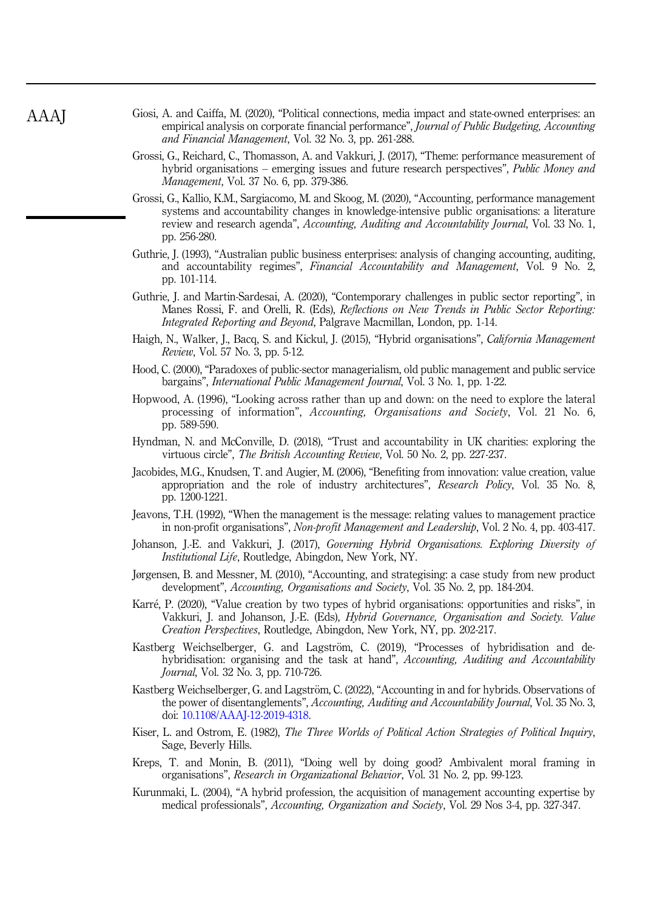- <span id="page-17-0"></span>Giosi, A. and Caiffa, M. (2020), "Political connections, media impact and state-owned enterprises: an empirical analysis on corporate financial performance", *Journal of Public Budgeting*, *Accounting* and Financial Management, Vol. 32 No. 3, pp. 261-288.
- Grossi, G., Reichard, C., Thomasson, A. and Vakkuri, J. (2017), "Theme: performance measurement of hybrid organisations – emerging issues and future research perspectives", Public Money and Management, Vol. 37 No. 6, pp. 379-386.
- Grossi, G., Kallio, K.M., Sargiacomo, M. and Skoog, M. (2020), "Accounting, performance management systems and accountability changes in knowledge-intensive public organisations: a literature review and research agenda", Accounting, Auditing and Accountability Journal, Vol. 33 No. 1, pp. 256-280.
- Guthrie, J. (1993), "Australian public business enterprises: analysis of changing accounting, auditing, and accountability regimes", Financial Accountability and Management, Vol. 9 No. 2, pp. 101-114.
- Guthrie, J. and Martin-Sardesai, A. (2020), "Contemporary challenges in public sector reporting", in Manes Rossi, F. and Orelli, R. (Eds), *Reflections on New Trends in Public Sector Reporting*: Integrated Reporting and Beyond, Palgrave Macmillan, London, pp. 1-14.
- Haigh, N., Walker, J., Bacq, S. and Kickul, J. (2015), "Hybrid organisations", California Management Review, Vol. 57 No. 3, pp. 5-12.
- Hood, C. (2000), "Paradoxes of public-sector managerialism, old public management and public service bargains", International Public Management Journal, Vol. 3 No. 1, pp. 1-22.
- Hopwood, A. (1996), "Looking across rather than up and down: on the need to explore the lateral processing of information", Accounting, Organisations and Society, Vol. 21 No. 6, pp. 589-590.
- Hyndman, N. and McConville, D. (2018), "Trust and accountability in UK charities: exploring the virtuous circle", The British Accounting Review, Vol. 50 No. 2, pp. 227-237.
- Jacobides, M.G., Knudsen, T. and Augier, M. (2006), "Benefiting from innovation: value creation, value appropriation and the role of industry architectures", Research Policy, Vol. 35 No. 8, pp. 1200-1221.
- Jeavons, T.H. (1992), "When the management is the message: relating values to management practice in non-profit organisations", Non-profit Management and Leadership, Vol. 2 No. 4, pp. 403-417.
- Johanson, J.-E. and Vakkuri, J. (2017), Governing Hybrid Organisations. Exploring Diversity of Institutional Life, Routledge, Abingdon, New York, NY.
- Jørgensen, B. and Messner, M. (2010), "Accounting, and strategising: a case study from new product development", Accounting, Organisations and Society, Vol. 35 No. 2, pp. 184-204.
- Karré, P. (2020), "Value creation by two types of hybrid organisations: opportunities and risks", in Vakkuri, J. and Johanson, J.-E. (Eds), Hybrid Governance, Organisation and Society. Value Creation Perspectives, Routledge, Abingdon, New York, NY, pp. 202-217.
- Kastberg Weichselberger, G. and Lagström, C. (2019), "Processes of hybridisation and dehybridisation: organising and the task at hand", Accounting, Auditing and Accountability Journal, Vol. 32 No. 3, pp. 710-726.
- Kastberg Weichselberger, G. and Lagström, C. (2022), "Accounting in and for hybrids. Observations of the power of disentanglements", Accounting, Auditing and Accountability Journal, Vol. 35 No. 3, doi: [10.1108/AAAJ-12-2019-4318.](https://doi.org/10.1108/AAAJ-12-2019-4318)
- Kiser, L. and Ostrom, E. (1982), The Three Worlds of Political Action Strategies of Political Inquiry, Sage, Beverly Hills.
- Kreps, T. and Monin, B. (2011), "Doing well by doing good? Ambivalent moral framing in organisations", Research in Organizational Behavior, Vol. 31 No. 2, pp. 99-123.
- Kurunmaki, L. (2004), "A hybrid profession, the acquisition of management accounting expertise by medical professionals", Accounting, Organization and Society, Vol. 29 Nos 3-4, pp. 327-347.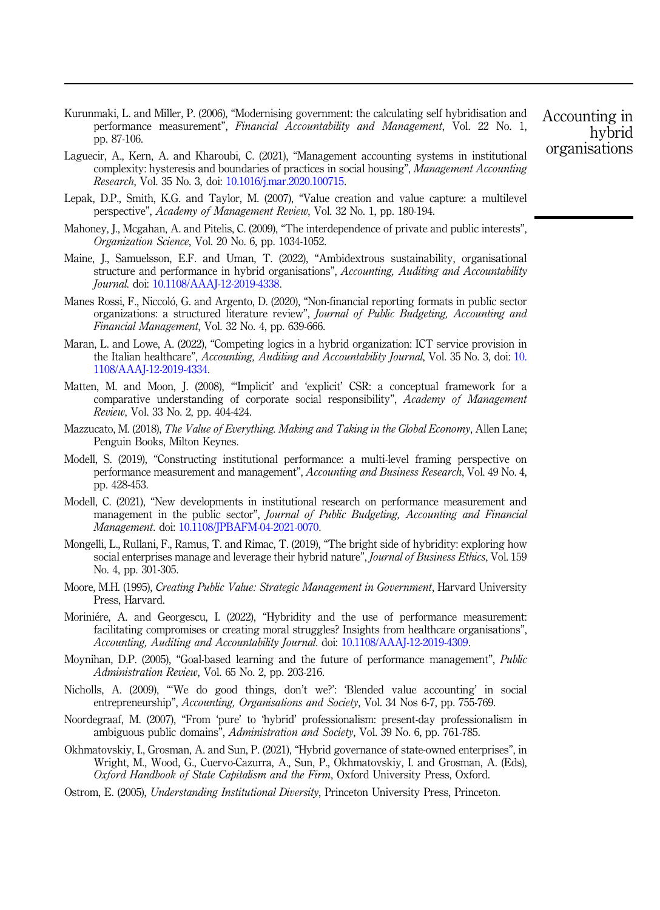<span id="page-18-0"></span>Kurunmaki, L. and Miller, P. (2006), "Modernising government: the calculating self hybridisation and performance measurement", Financial Accountability and Management, Vol. 22 No. 1, pp. 87-106.

- Laguecir, A., Kern, A. and Kharoubi, C. (2021), "Management accounting systems in institutional complexity: hysteresis and boundaries of practices in social housing", Management Accounting Research, Vol. 35 No. 3, doi: [10.1016/j.mar.2020.100715](https://doi.org/10.1016/j.mar.2020.100715).
- Lepak, D.P., Smith, K.G. and Taylor, M. (2007), "Value creation and value capture: a multilevel perspective", Academy of Management Review, Vol. 32 No. 1, pp. 180-194.
- Mahoney, J., Mcgahan, A. and Pitelis, C. (2009), "The interdependence of private and public interests", Organization Science, Vol. 20 No. 6, pp. 1034-1052.
- Maine, J., Samuelsson, E.F. and Uman, T. (2022), "Ambidextrous sustainability, organisational structure and performance in hybrid organisations", Accounting, Auditing and Accountability Journal. doi: [10.1108/AAAJ-12-2019-4338](https://doi.org/10.1108/AAAJ-12-2019-4338).
- Manes Rossi, F., Niccoló, G. and Argento, D. (2020), "Non-financial reporting formats in public sector organizations: a structured literature review", Journal of Public Budgeting, Accounting and Financial Management, Vol. 32 No. 4, pp. 639-666.
- Maran, L. and Lowe, A. (2022), "Competing logics in a hybrid organization: ICT service provision in the Italian healthcare", Accounting, Auditing and Accountability Journal, Vol. 35 No. 3, doi: [10.](https://doi.org/10.1108/AAAJ-12-2019-4334) [1108/AAAJ-12-2019-4334](https://doi.org/10.1108/AAAJ-12-2019-4334).
- Matten, M. and Moon, J. (2008), "'Implicit' and 'explicit' CSR: a conceptual framework for a comparative understanding of corporate social responsibility", Academy of Management Review, Vol. 33 No. 2, pp. 404-424.
- Mazzucato, M. (2018), The Value of Everything. Making and Taking in the Global Economy, Allen Lane; Penguin Books, Milton Keynes.
- Modell, S. (2019), "Constructing institutional performance: a multi-level framing perspective on performance measurement and management", Accounting and Business Research, Vol. 49 No. 4, pp. 428-453.
- Modell, C. (2021), "New developments in institutional research on performance measurement and management in the public sector", Journal of Public Budgeting, Accounting and Financial Management. doi: [10.1108/JPBAFM-04-2021-0070](https://doi.org/10.1108/JPBAFM-04-2021-0070).
- Mongelli, L., Rullani, F., Ramus, T. and Rimac, T. (2019), "The bright side of hybridity: exploring how social enterprises manage and leverage their hybrid nature", *Journal of Business Ethics*, Vol. 159 No. 4, pp. 301-305.
- Moore, M.H. (1995), Creating Public Value: Strategic Management in Government, Harvard University Press, Harvard.
- Moriniére, A. and Georgescu, I. (2022), "Hybridity and the use of performance measurement: facilitating compromises or creating moral struggles? Insights from healthcare organisations", Accounting, Auditing and Accountability Journal. doi: [10.1108/AAAJ-12-2019-4309](https://doi.org/10.1108/AAAJ-12-2019-4309).
- Moynihan, D.P. (2005), "Goal-based learning and the future of performance management", Public Administration Review, Vol. 65 No. 2, pp. 203-216.
- Nicholls, A. (2009), "'We do good things, don't we?': 'Blended value accounting' in social entrepreneurship", Accounting, Organisations and Society, Vol. 34 Nos 6-7, pp. 755-769.
- Noordegraaf, M. (2007), "From 'pure' to 'hybrid' professionalism: present-day professionalism in ambiguous public domains", Administration and Society, Vol. 39 No. 6, pp. 761-785.
- Okhmatovskiy, I., Grosman, A. and Sun, P. (2021), "Hybrid governance of state-owned enterprises", in Wright, M., Wood, G., Cuervo-Cazurra, A., Sun, P., Okhmatovskiy, I. and Grosman, A. (Eds), Oxford Handbook of State Capitalism and the Firm, Oxford University Press, Oxford.

Ostrom, E. (2005), Understanding Institutional Diversity, Princeton University Press, Princeton.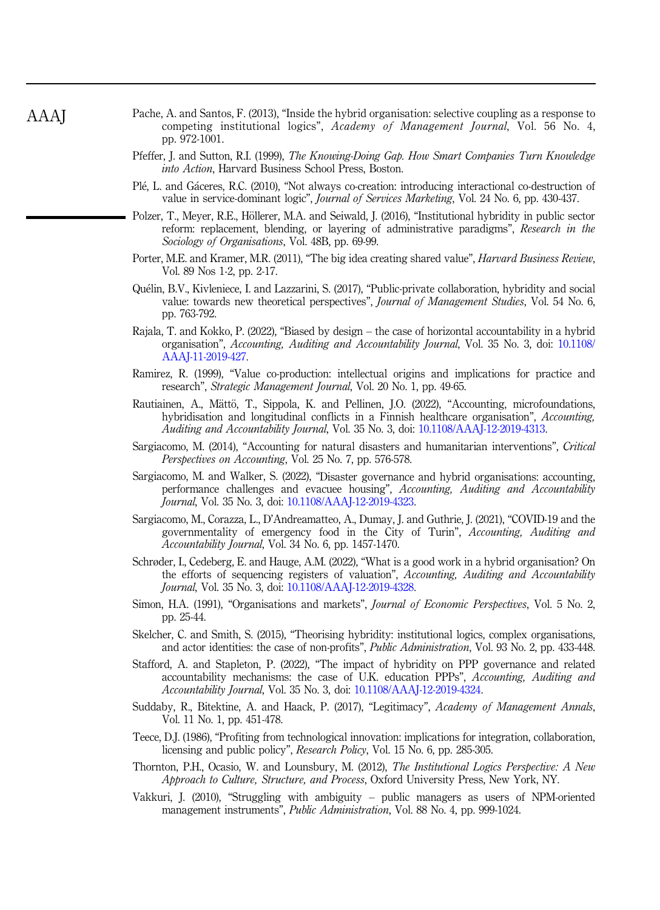- <span id="page-19-0"></span>Pache, A. and Santos, F. (2013), "Inside the hybrid organisation: selective coupling as a response to competing institutional logics", Academy of Management Journal, Vol. 56 No. 4, pp. 972-1001.
- Pfeffer, J. and Sutton, R.I. (1999), The Knowing-Doing Gap. How Smart Companies Turn Knowledge into Action, Harvard Business School Press, Boston.
- Plé, L. and Gáceres, R.C. (2010), "Not always co-creation: introducing interactional co-destruction of value in service-dominant logic", Journal of Services Marketing, Vol. 24 No. 6, pp. 430-437.
- Polzer, T., Meyer, R.E., Höllerer, M.A. and Seiwald, J. (2016), "Institutional hybridity in public sector reform: replacement, blending, or layering of administrative paradigms", Research in the Sociology of Organisations, Vol. 48B, pp. 69-99.
- Porter, M.E. and Kramer, M.R. (2011), "The big idea creating shared value", *Harvard Business Review*, Vol. 89 Nos 1-2, pp. 2-17.
- Quélin, B.V., Kivleniece, I. and Lazzarini, S. (2017), "Public-private collaboration, hybridity and social value: towards new theoretical perspectives", Journal of Management Studies, Vol. 54 No. 6, pp. 763-792.
- Rajala, T. and Kokko, P. (2022), "Biased by design the case of horizontal accountability in a hybrid organisation", Accounting, Auditing and Accountability Journal, Vol. 35 No. 3, doi: [10.1108/](https://doi.org/10.1108/AAAJ-11-2019-427) [AAAJ-11-2019-427](https://doi.org/10.1108/AAAJ-11-2019-427).
- Ramirez, R. (1999), "Value co-production: intellectual origins and implications for practice and research", Strategic Management Journal, Vol. 20 No. 1, pp. 49-65.
- Rautiainen, A., Mättö, T., Sippola, K. and Pellinen, J.O. (2022), "Accounting, microfoundations, hybridisation and longitudinal conflicts in a Finnish healthcare organisation", Accounting, Auditing and Accountability Journal, Vol. 35 No. 3, doi: [10.1108/AAAJ-12-2019-4313.](https://doi.org/10.1108/AAAJ-12-2019-4313)
- Sargiacomo, M. (2014), "Accounting for natural disasters and humanitarian interventions", Critical Perspectives on Accounting, Vol. 25 No. 7, pp. 576-578.
- Sargiacomo, M. and Walker, S. (2022), "Disaster governance and hybrid organisations: accounting, performance challenges and evacuee housing", Accounting, Auditing and Accountability Journal, Vol. 35 No. 3, doi: [10.1108/AAAJ-12-2019-4323](https://doi.org/10.1108/AAAJ-12-2019-4323).
- Sargiacomo, M., Corazza, L., D'Andreamatteo, A., Dumay, J. and Guthrie, J. (2021), "COVID-19 and the governmentality of emergency food in the City of Turin", Accounting, Auditing and Accountability Journal, Vol. 34 No. 6, pp. 1457-1470.
- Schrøder, I., Cedeberg, E. and Hauge, A.M. (2022), "What is a good work in a hybrid organisation? On the efforts of sequencing registers of valuation", Accounting, Auditing and Accountability Journal, Vol. 35 No. 3, doi: [10.1108/AAAJ-12-2019-4328](https://doi.org/10.1108/AAAJ-12-2019-4328).
- Simon, H.A. (1991), "Organisations and markets", Journal of Economic Perspectives, Vol. 5 No. 2, pp. 25-44.
- Skelcher, C. and Smith, S. (2015), "Theorising hybridity: institutional logics, complex organisations, and actor identities: the case of non-profits", Public Administration, Vol. 93 No. 2, pp. 433-448.
- Stafford, A. and Stapleton, P. (2022), "The impact of hybridity on PPP governance and related accountability mechanisms: the case of U.K. education PPPs", Accounting, Auditing and Accountability Journal, Vol. 35 No. 3, doi: [10.1108/AAAJ-12-2019-4324.](https://doi.org/10.1108/AAAJ-12-2019-4324)
- Suddaby, R., Bitektine, A. and Haack, P. (2017), "Legitimacy", Academy of Management Annals, Vol. 11 No. 1, pp. 451-478.
- Teece, D.J. (1986), "Profiting from technological innovation: implications for integration, collaboration, licensing and public policy", Research Policy, Vol. 15 No. 6, pp. 285-305.
- Thornton, P.H., Ocasio, W. and Lounsbury, M. (2012), The Institutional Logics Perspective: A New Approach to Culture, Structure, and Process, Oxford University Press, New York, NY.
- Vakkuri, J. (2010), "Struggling with ambiguity public managers as users of NPM-oriented management instruments", Public Administration, Vol. 88 No. 4, pp. 999-1024.